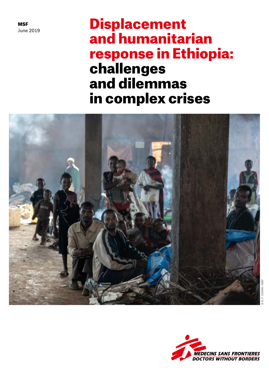**MSF** 

MSF MSE **Displacement** and humanitarian response in Ethiopia: challenges and dilemmas in complex crises



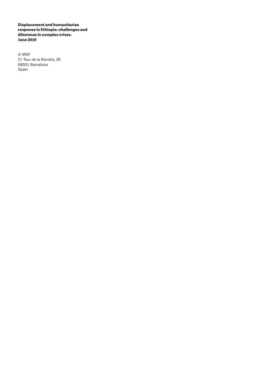Displacement and humanitarian response in Ethiopia: challenges and dilemmas in complex crises. June 2019

© MSF C/ Nou de la Rambla, 26 08001 Barcelona Spain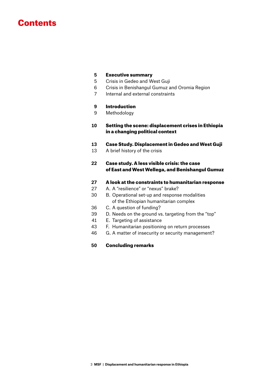# **Contents**

#### Executive summary **5**

- Crisis in Gedeo and West Guji 5
- Crisis in Benishangul Gumuz and Oromia Region 6
- Internal and external constraints 7

#### Introduction **9**

- Methodology 9
- Setting the scene: displacement crises in Ethiopia in a changing political context **10**
- Case Study. Displacement in Gedeo and West Guji **13**
- A brief history of the crisis 13
- Case study. A less visible crisis: the case of East and West Wellega, and Benishangul Gumuz **22**
- A look at the constraints to humanitarian response **27**
- A. A "resilience" or "nexus" brake? 27
- B. Operational set-up and response modalities of the Ethiopian humanitarian complex 30
- C. A question of funding? 36
- D. Needs on the ground vs. targeting from the "top" 39
- E. Targeting of assistance 41
- F. Humanitarian positioning on return processes 43
- G. A matter of insecurity or security management? 46
- Concluding remarks **50**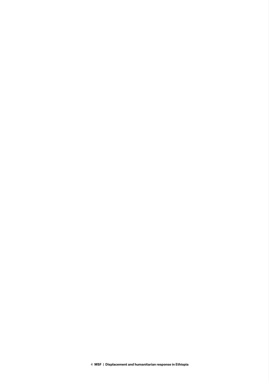**MSF | Displacement and humanitarian response in Ethiopia**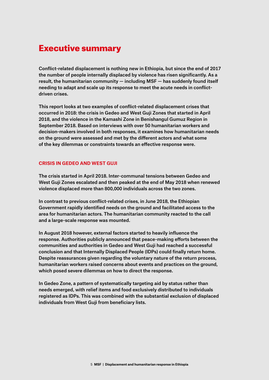# Executive summary

Conflict-related displacement is nothing new in Ethiopia, but since the end of 2017 the number of people internally displaced by violence has risen significantly. As a result, the humanitarian community — including MSF — has suddenly found itself needing to adapt and scale up its response to meet the acute needs in conflictdriven crises.

This report looks at two examples of conflict-related displacement crises that occurred in 2018: the crisis in Gedeo and West Guji Zones that started in April 2018, and the violence in the Kamashi Zone in Benishangul Gumuz Region in September 2018. Based on interviews with over 50 humanitarian workers and decision-makers involved in both responses, it examines how humanitarian needs on the ground were assessed and met by the different actors and what some of the key dilemmas or constraints towards an effective response were.

### **CRISIS IN GEDEO AND WEST GUJI**

The crisis started in April 2018. Inter-communal tensions between Gedeo and West Guji Zones escalated and then peaked at the end of May 2018 when renewed violence displaced more than 800,000 individuals across the two zones.

In contrast to previous conflict-related crises, in June 2018, the Ethiopian Government rapidly identified needs on the ground and facilitated access to the area for humanitarian actors. The humanitarian community reacted to the call and a large-scale response was mounted.

In August 2018 however, external factors started to heavily influence the response. Authorities publicly announced that peace-making efforts between the communities and authorities in Gedeo and West Guji had reached a successful conclusion and that Internally Displaced People (IDPs) could finally return home. Despite reassurances given regarding the voluntary nature of the return process, humanitarian workers raised concerns about events and practices on the ground, which posed severe dilemmas on how to direct the response.

In Gedeo Zone, a pattern of systematically targeting aid by status rather than needs emerged, with relief items and food exclusively distributed to individuals registered as IDPs. This was combined with the substantial exclusion of displaced individuals from West Guji from beneficiary lists.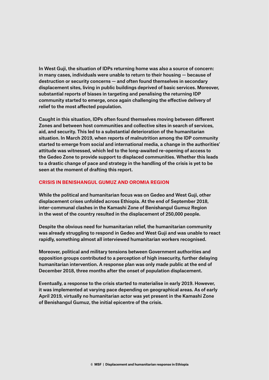In West Guji, the situation of IDPs returning home was also a source of concern: in many cases, individuals were unable to return to their housing — because of destruction or security concerns — and often found themselves in secondary displacement sites, living in public buildings deprived of basic services. Moreover, substantial reports of biases in targeting and penalising the returning IDP community started to emerge, once again challenging the effective delivery of relief to the most affected population.

Caught in this situation, IDPs often found themselves moving between different Zones and between host communities and collective sites in search of services, aid, and security. This led to a substantial deterioration of the humanitarian situation. In March 2019, when reports of malnutrition among the IDP community started to emerge from social and international media, a change in the authorities' attitude was witnessed, which led to the long-awaited re-opening of access to the Gedeo Zone to provide support to displaced communities. Whether this leads to a drastic change of pace and strategy in the handling of the crisis is yet to be seen at the moment of drafting this report.

### **CRISIS IN BENISHANGUL GUMUZ AND OROMIA REGION**

While the political and humanitarian focus was on Gedeo and West Guji, other displacement crises unfolded across Ethiopia. At the end of September 2018, inter-communal clashes in the Kamashi Zone of Benishangul Gumuz Region in the west of the country resulted in the displacement of 250,000 people.

Despite the obvious need for humanitarian relief, the humanitarian community was already struggling to respond in Gedeo and West Guji and was unable to react rapidly, something almost all interviewed humanitarian workers recognised.

Moreover, political and military tensions between Government authorities and opposition groups contributed to a perception of high insecurity, further delaying humanitarian intervention. A response plan was only made public at the end of December 2018, three months after the onset of population displacement.

Eventually, a response to the crisis started to materialise in early 2019. However, it was implemented at varying pace depending on geographical areas. As of early April 2019, virtually no humanitarian actor was yet present in the Kamashi Zone of Benishangul Gumuz, the initial epicentre of the crisis.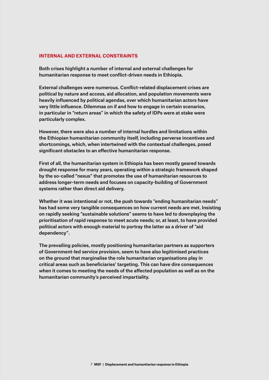### **INTERNAL AND EXTERNAL CONSTRAINTS**

Both crises highlight a number of internal and external challenges for humanitarian response to meet conflict-driven needs in Ethiopia.

External challenges were numerous. Conflict-related displacement crises are political by nature and access, aid allocation, and population movements were heavily influenced by political agendas, over which humanitarian actors have very little influence. Dilemmas on if and how to engage in certain scenarios, in particular in "return areas" in which the safety of IDPs were at stake were particularly complex.

However, there were also a number of internal hurdles and limitations within the Ethiopian humanitarian community itself, including perverse incentives and shortcomings, which, when intertwined with the contextual challenges, posed significant obstacles to an effective humanitarian response.

First of all, the humanitarian system in Ethiopia has been mostly geared towards drought response for many years, operating within a strategic framework shaped by the so-called "nexus" that promotes the use of humanitarian resources to address longer-term needs and focuses on capacity-building of Government systems rather than direct aid delivery.

Whether it was intentional or not, the push towards "ending humanitarian needs" has had some very tangible consequences on how current needs are met. Insisting on rapidly seeking "sustainable solutions" seems to have led to downplaying the prioritisation of rapid response to meet acute needs; or, at least, to have provided political actors with enough material to portray the latter as a driver of "aid dependency".

The prevailing policies, mostly positioning humanitarian partners as supporters of Government-led service provision, seem to have also legitimised practices on the ground that marginalise the role humanitarian organisations play in critical areas such as beneficiaries' targeting. This can have dire consequences when it comes to meeting the needs of the affected population as well as on the humanitarian community's perceived impartiality.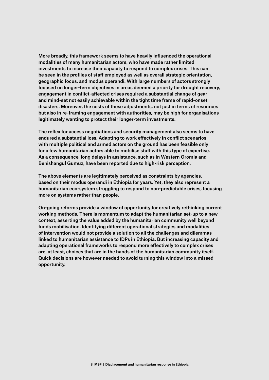More broadly, this framework seems to have heavily influenced the operational modalities of many humanitarian actors, who have made rather limited investments to increase their capacity to respond to complex crises. This can be seen in the profiles of staff employed as well as overall strategic orientation, geographic focus, and modus operandi. With large numbers of actors strongly focused on longer-term objectives in areas deemed a priority for drought recovery, engagement in conflict-affected crises required a substantial change of gear and mind-set not easily achievable within the tight time frame of rapid-onset disasters. Moreover, the costs of these adjustments, not just in terms of resources but also in re-framing engagement with authorities, may be high for organisations legitimately wanting to protect their longer-term investments.

The reflex for access negotiations and security management also seems to have endured a substantial loss. Adapting to work effectively in conflict scenarios with multiple political and armed actors on the ground has been feasible only for a few humanitarian actors able to mobilise staff with this type of expertise. As a consequence, long delays in assistance, such as in Western Oromia and Benishangul Gumuz, have been reported due to high-risk perception.

The above elements are legitimately perceived as constraints by agencies, based on their modus operandi in Ethiopia for years. Yet, they also represent a humanitarian eco-system struggling to respond to non-predictable crises, focusing more on systems rather than people.

On-going reforms provide a window of opportunity for creatively rethinking current working methods. There is momentum to adapt the humanitarian set-up to a new context, asserting the value added by the humanitarian community well beyond funds mobilisation. Identifying different operational strategies and modalities of intervention would not provide a solution to all the challenges and dilemmas linked to humanitarian assistance to IDPs in Ethiopia. But increasing capacity and adapting operational frameworks to respond more effectively to complex crises are, at least, choices that are in the hands of the humanitarian community itself. Quick decisions are however needed to avoid turning this window into a missed opportunity.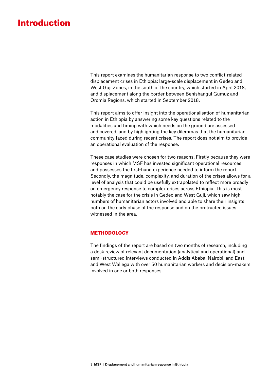# Introduction

This report examines the humanitarian response to two conflict-related displacement crises in Ethiopia: large-scale displacement in Gedeo and West Guji Zones, in the south of the country, which started in April 2018, and displacement along the border between Benishangul Gumuz and Oromia Regions, which started in September 2018.

This report aims to offer insight into the operationalisation of humanitarian action in Ethiopia by answering some key questions related to the modalities and timing with which needs on the ground are assessed and covered, and by highlighting the key dilemmas that the humanitarian community faced during recent crises. The report does not aim to provide an operational evaluation of the response.

These case studies were chosen for two reasons. Firstly because they were responses in which MSF has invested significant operational resources and possesses the first-hand experience needed to inform the report. Secondly, the magnitude, complexity, and duration of the crises allows for a level of analysis that could be usefully extrapolated to reflect more broadly on emergency response to complex crises across Ethiopia. This is most notably the case for the crisis in Gedeo and West Guji, which saw high numbers of humanitarian actors involved and able to share their insights both on the early phase of the response and on the protracted issues witnessed in the area.

### **METHODOLOGY**

The findings of the report are based on two months of research, including a desk review of relevant documentation (analytical and operational) and semi-structured interviews conducted in Addis Ababa, Nairobi, and East and West Wallega with over 50 humanitarian workers and decision-makers involved in one or both responses.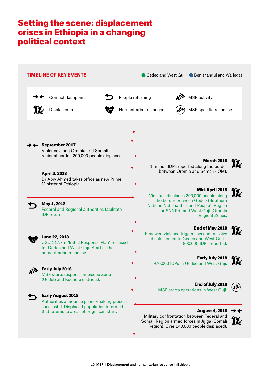# Setting the scene: displacement crises in Ethiopia in a changing political context

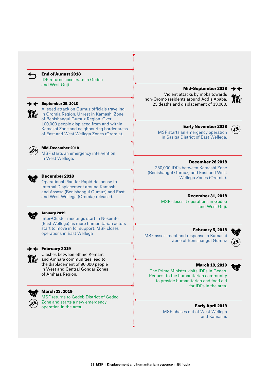

## End of August 2018

IDP returns accelerate in Gedeo and West Guji. **Mid-September 2018** 

Alleged attack on Gumuz officials traveling in Oromia Region. Unrest in Kamashi Zone of Benishangul Gumuz Region. Over 100,000 people displaced from and within Kamashi Zone and neighbouring border areas of East and West Wellega Zones (Oromia).



### Mid-December 2018

MSF starts an emergency intervention in West Wellega.



### December 2018

Operational Plan for Rapid Response to Internal Displacement around Kamashi and Assosa (Benishangul Gumuz) and East and West Wollega (Oromia) released.



#### January 2019

Inter-Cluster meetings start in Nekemte (East Wellega) as more humanitarian actors start to move in for support. MSF closes operations in East Wellega



## February 2019

Clashes between ethnic Kemant and Amhara communities lead to the displacement of 90,000 people in West and Central Gondar Zones of Amhara Region.



### March 23, 2019

MSF returns to Gedeb District of Gedeo Zone and starts a new emergency operation in the area.

Violent attacks by mobs towards non-Oromo residents around Addis Ababa. ◆ September 25, 2018 23 deaths and displacement of 13,000.



Early November 2018 MSF starts an emergency operation in Sasiga District of East Wellega.

### December 26 2018

250,000 IDPs between Kamashi Zone (Benishangul Gumuz) and East and West Wellega Zones (Oromia).

> December 31, 2018 MSF closes it operations in Gedeo

and West Guji.

February 5, 2018 MSF assessment and response in Kamashi Zone of Benishangul Gumuz



#### March 19, 2019

The Prime Minister visits IDPs in Gedeo. Request to the humanitarian community to provide humanitarian and food aid for IDPs in the area.

> Early April 2019 MSF phases out of West Wellega and Kamashi.

11 **MSF | Displacement and humanitarian response in Ethiopia**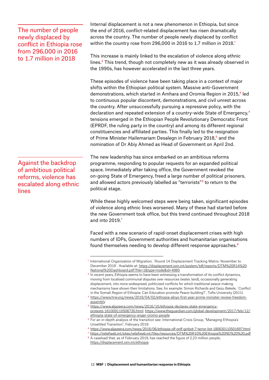### The number of people newly displaced by conflict in Ethiopia rose from 296,000 in 2016 to 1.7 million in 2018

Internal displacement is not a new phenomenon in Ethiopia, but since the end of 2016, conflict-related displacement has risen dramatically across the country. The number of people newly displaced by conflict within the country rose from 296,000 in 2016 to 1.7 million in 2018.<sup>1</sup>

This increase is mainly linked to the escalation of violence along ethnic lines.<sup>2</sup> This trend, though not completely new as it was already observed in the 1990s, has however accelerated in the last three years.

These episodes of violence have been taking place in a context of major shifts within the Ethiopian political system. Massive anti-Government demonstrations, which started in Amhara and Oromia Region in 2015,<sup>3</sup> led to continuous popular discontent, demonstrations, and civil unrest across the country. After unsuccessfully pursuing a repressive policy, with the declaration and repeated extension of a country-wide State of Emergency,<sup>4</sup> tensions emerged in the Ethiopian People Revolutionary Democratic Front (EPRDF, the ruling party in the country) and among its different regional constituencies and affiliated parties. This finally led to the resignation of Prime Minister Hailemariam Desalegn in February 2018,<sup>5</sup> and the nomination of Dr Abiy Ahmed as Head of Government on April 2nd.

Against the backdrop of ambitious political reforms, violence has escalated along ethnic lines

The new leadership has since embarked on an ambitious reforms programme, responding to popular requests for an expanded political space. Immediately after taking office, the Government revoked the on-going State of Emergency, freed a large number of political prisoners, and allowed actors previously labelled as "terrorists"<sup>6</sup> to return to the political stage.

While these highly welcomed steps were being taken, significant episodes of violence along ethnic lines worsened. Many of these had started before the new Government took office, but this trend continued throughout 2018 and into 2019.<sup>7</sup>

Faced with a new scenario of rapid-onset displacement crises with high numbers of IDPs, Government authorities and humanitarian organisations found themselves needing to develop different response approaches.<sup>8</sup>

6 <https://www.aljazeera.com/news/2018/06/ethiopia-olf-onlf-ginbot-7-terror-list-180630110501697.html>

<sup>1</sup> International Organization of Migration, ´Round 14 Displacement Tracking Matrix: November to December 2018´. Available at: [https://displacement.iom.int/system/tdf/reports/DTM%20R14%20](https://displacement.iom.int/system/tdf/reports/DTM%20R14%20National%20Dashboard.pdf?file=1&type=node&id=4980) [National%20Dashboard.pdf?file=1&type=node&id=4980](https://displacement.iom.int/system/tdf/reports/DTM%20R14%20National%20Dashboard.pdf?file=1&type=node&id=4980)

<sup>&</sup>lt;sup>2</sup> In recent years, Ethiopia seems to have been witnessing a transformation of its conflict dynamics, moving from localised communal disputes over resources (water, land), occasionally generating displacement, into more widespread, politicized conflicts for which traditional peace-making mechanisms have shown their limitations. See, for example: Simon Richards and Gezu Bekele, ´Conflict in the Somali Region of Ethiopia: Can Education promote Peace-building?´, Tufts University (2011).

<sup>3</sup> [https://www.hrw.org/news/2019/04/02/ethiopia-abiys-first-year-prime-minister-review-freedom](https://www.hrw.org/news/2019/04/02/ethiopia-abiys-first-year-prime-minister-review-freedom-assembly)[assembly](https://www.hrw.org/news/2019/04/02/ethiopia-abiys-first-year-prime-minister-review-freedom-assembly)

<sup>4</sup> [https://www.aljazeera.com/news/2016/10/ethiopia-declares-state-emergency](https://www.aljazeera.com/news/2016/10/ethiopia-declares-state-emergency-protests-161009110506730.html)[protests-161009110506730.html](https://www.aljazeera.com/news/2016/10/ethiopia-declares-state-emergency-protests-161009110506730.html); [https://www.theguardian.com/global-development/2017/feb/12/](https://www.theguardian.com/global-development/2017/feb/12/ethiopia-state-of-emergency-anger-oromo-people) [ethiopia-state-of-emergency-anger-oromo-people](https://www.theguardian.com/global-development/2017/feb/12/ethiopia-state-of-emergency-anger-oromo-people)

<sup>5</sup> For an in-depth analysis of the transition see: International Crisis Group, "Managing Ethiopia's Unsettled Transition", February 2019.

<sup>7</sup> <https://reliefweb.int/sites/reliefweb.int/files/resources/DTM%20R10%20Ethiopia%20ND%20%20.pdf>

<sup>&</sup>lt;sup>8</sup> A caseload that, as of February 2019, has reached the figure of 2.23 million people, <https://displacement.iom.int/ethiopia>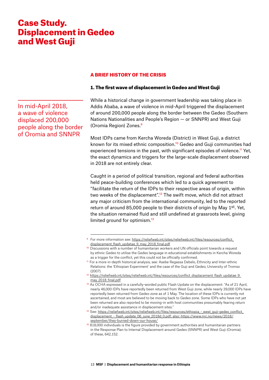# Case Study. Displacement in Gedeo and West Guji

### A BRIEF HISTORY OF THE CRISIS

### 1. The first wave of displacement in Gedeo and West Guji

While a historical change in government leadership was taking place in Addis Ababa, a wave of violence in mid-April triggered the displacement of around 200,000 people along the border between the Gedeo (Southern Nations Nationalities and People's Region — or SNNPR) and West Guji (Oromia Region) Zones.9

Most IDPs came from Kercha Woreda (District) in West Guji, a district known for its mixed ethnic composition.<sup>10</sup> Gedeo and Guji communities had experienced tensions in the past, with significant episodes of violence.<sup>11</sup> Yet, the exact dynamics and triggers for the large-scale displacement observed in 2018 are not entirely clear.

Caught in a period of political transition, regional and federal authorities held peace-building conferences which led to a quick agreement to "facilitate the return of the IDPs to their respective areas of origin, within two weeks of the displacement".<sup>12</sup> The swift move, which did not attract any major criticism from the international community, led to the reported return of around 85,000 people to their districts of origin by May 1<sup>st</sup>. Yet, the situation remained fluid and still undefined at grassroots level, giving limited ground for optimism.<sup>13</sup>

In mid-April 2018, a wave of violence displaced 200,000 people along the border of Oromia and SNNPR

<sup>9</sup> For more information see: https://reliefweb.int/sites/reliefweb.int/files/resources/conflict\_ displacement\_[f](https://reliefweb.int/sites/reliefweb.int/files/resources/conflict_displacement_flash_updatae_9_may_2018_final.pdf
)lash\_updatae\_9\_may\_2018\_final.pdf

 $10$  Discussions with a number of humanitarian workers and UN officials point towards a request by ethnic Gedeo to utilise the Gedeo language in educational establishments in Kercha Woreda as a trigger for the conflict, yet this could not be officially confirmed.

<sup>11</sup> For a more in-depth historical analysis, see: Asebe Regassa Debelo, Ethnicity and Inter-ethnic Relations: the 'Ethiopian Experiment' and the case of the Guji and Gedeo, University of Tromso (2007).

<sup>&</sup>lt;sup>12</sup> [https://reliefweb.int/sites/reliefweb.int/files/resources/conflict\\_displacement\\_flash\\_updatae\\_9\\_](https://reliefweb.int/sites/reliefweb.int/files/resources/conflict_displacement_flash_updatae_9_may_2018_final.pdf) may 2018 final.pdf

<sup>13</sup> As OCHA expressed in a carefully-worded public Flash Update on the displacement: "As of 21 April, nearly 46,000 IDPs have reportedly been returned from West Guji zone, while nearly 39,000 IDPs have reportedly been returned from Gedeo zone as of 1 May. The location of these IDPs is currently not ascertained, and most are believed to be moving back to Gedeo zone. Some IDPs who have not yet been returned are also reported to be moving-in with host communities presumably fearing return and/or inadequate assistance in displacement sites."

<sup>&</sup>lt;sup>14</sup> See: https://reliefweb.int/sites/reliefweb.int/files/resources/ethiopia - west\_guji-gedeo\_conflict\_ displacement - flash\_update\_06\_june\_2018d\_0.pdf; also: https://www.nrc.no/news/2018/ [september/they-burned-down-our-house/](https://reliefweb.int/sites/reliefweb.int/files/resources/ethiopia_-_west_guji-gedeo_conflict_displacement_-_flash_update_06_june_2018d_0.pdf; also: https://www.nrc.no/news/2018/september/they-burned-down-our-house/)

<sup>15 818,000</sup> individuals is the figure provided by government authorities and humanitarian partners in the Response Plan to Internal Displacement around Gedeo (SNNPR) and West Guji (Oromia); of these, 642,152.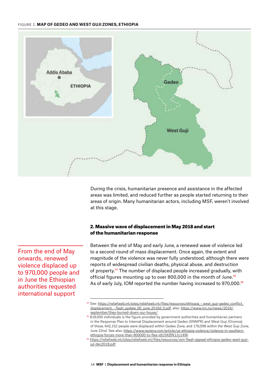

During the crisis, humanitarian presence and assistance in the affected areas was limited, and reduced further as people started returning to their areas of origin. Many humanitarian actors, including MSF, weren't involved at this stage.

### 2. Massive wave of displacement in May 2018 and start of the humanitarian response

Between the end of May and early June, a renewed wave of violence led to a second round of mass displacement. Once again, the extent and magnitude of the violence was never fully understood, although there were reports of widespread civilian deaths, physical abuse, and destruction of property.14 The number of displaced people increased gradually, with official figures mounting up to over 800,000 in the month of June.<sup>15</sup> As of early July, IOM reported the number having increased to 970,000.<sup>16</sup>

From the end of May onwards, renewed violence displaced up to 970,000 people and in June the Ethiopian authorities requested international support

<sup>14</sup> See: https://reliefweb.int/sites/reliefweb.int/files/resources/ethiopia - west\_guji-gedeo\_conflict\_ displacement - flash\_update\_06\_june\_2018d\_0.pdf; also: [https://www.nrc.no/news/2018/](https://www.nrc.no/news/2018/september/they-burned-down-our-house/) [september/they-burned-down-our-house/](https://www.nrc.no/news/2018/september/they-burned-down-our-house/)

<sup>15 818,000</sup> individuals is the figure provided by government authorities and humanitarian partners in the Response Plan to Internal Displacement around Gedeo (SNNPR) and West Guji (Oromia); of these, 642,152 people were displaced within Gedeo Zone, and 176,098 within the West Guji Zone, June 22nd. See also: [https://www.reuters.com/article/us-ethiopia-violence/violence-in-southern](https://www.reuters.com/article/us-ethiopia-violence/violence-in-southern-ethiopia-forces-more-than-800000-to-flee-idUSKBN1JU14W)[ethiopia-forces-more-than-800000-to-flee-idUSKBN1JU14W](https://www.reuters.com/article/us-ethiopia-violence/violence-in-southern-ethiopia-forces-more-than-800000-to-flee-idUSKBN1JU14W).

<sup>16</sup> [https://reliefweb.int/sites/reliefweb.int/files/resources/iom-flash-appeal-ethiopia-gedeo-west-guji](https://reliefweb.int/sites/reliefweb.int/files/resources/iom-flash-appeal-ethiopia-gedeo-west-guji-jul-dec2018.pdf)[jul-dec2018.pdf](https://reliefweb.int/sites/reliefweb.int/files/resources/iom-flash-appeal-ethiopia-gedeo-west-guji-jul-dec2018.pdf)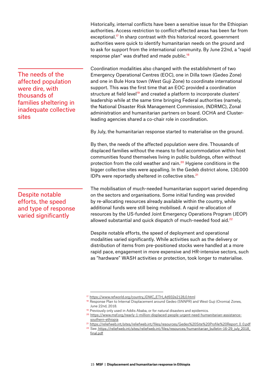Historically, internal conflicts have been a sensitive issue for the Ethiopian authorities. Access restriction to conflict-affected areas has been far from exceptional.<sup>17</sup> In sharp contrast with this historical record, government authorities were quick to identify humanitarian needs on the ground and to ask for support from the international community. By June 22nd, a "rapid response plan" was drafted and made public.<sup>18</sup>

The needs of the affected population were dire, with thousands of families sheltering in inadequate collective sites

Despite notable efforts, the speed and type of response varied significantly

Coordination modalities also changed with the establishment of two Emergency Operational Centres (EOC), one in Dilla town (Gedeo Zone) and one in Bule Hora town (West Guji Zone) to coordinate international support. This was the first time that an EOC provided a coordination structure at field level<sup>19</sup> and created a platform to incorporate clusters' leadership while at the same time bringing Federal authorities (namely, the National Disaster Risk Management Commission, (NDRMC), Zonal administration and humanitarian partners on board. OCHA and Clusterleading agencies shared a co-chair role in coordination.

By July, the humanitarian response started to materialise on the ground.

By then, the needs of the affected population were dire. Thousands of displaced families without the means to find accommodation within host communities found themselves living in public buildings, often without protection from the cold weather and rain.<sup>20</sup> Hygiene conditions in the bigger collective sites were appalling. In the Gedeb district alone, 130,000 IDPs were reportedly sheltered in collective sites.<sup>21</sup>

The mobilisation of much-needed humanitarian support varied depending on the sectors and organisations. Some initial funding was provided by re-allocating resources already available within the country, while additional funds were still being mobilised. A rapid re-allocation of resources by the US-funded Joint Emergency Operations Program (JEOP) allowed substantial and quick dispatch of much-needed food aid. $^{22}$ 

Despite notable efforts, the speed of deployment and operational modalities varied significantly. While activities such as the delivery or distribution of items from pre-positioned stocks were handled at a more rapid pace, engagement in more expensive and HR-intensive sectors, such as "hardware" WASH activities or protection, took longer to materialise.

<sup>17</sup> <https://www.refworld.org/country,,IDMC,,ETH,,4d932e2128,0.html>

<sup>&</sup>lt;sup>18</sup> Response Plan to Internal Displacement around Gedeo (SNNPR) and West Guji (Oromia) Zones, June 22nd, 2018.

<sup>&</sup>lt;sup>19</sup> Previously only used in Addis Ababa, or for natural disasters and epidemics.

<sup>20</sup> [https://www.msf.org/nearly-1-million-displaced-people-urgent-need-humanitarian-assistance](https://www.msf.org/nearly-1-million-displaced-people-urgent-need-humanitarian-assistance-southern-ethiopia)[southern-ethiopia](https://www.msf.org/nearly-1-million-displaced-people-urgent-need-humanitarian-assistance-southern-ethiopia)

<sup>21</sup> [https://reliefweb.int/sites/reliefweb.int/files/resources/Gedeo%20Site%20Profile%20Report\\_0\\_0.pdf](https://reliefweb.int/sites/reliefweb.int/files/resources/Gedeo%20Site%20Profile%20Report_0_0.pdf)

<sup>&</sup>lt;sup>22</sup> See[: https://reliefweb.int/sites/reliefweb.int/files/resources/humanitarian\\_bulletin-16-29\\_july\\_2018\\_](https://reliefweb.int/sites/reliefweb.int/files/resources/humanitarian_bulletin-16-29_july_2018_final.pdf) [final.pdf](https://reliefweb.int/sites/reliefweb.int/files/resources/humanitarian_bulletin-16-29_july_2018_final.pdf)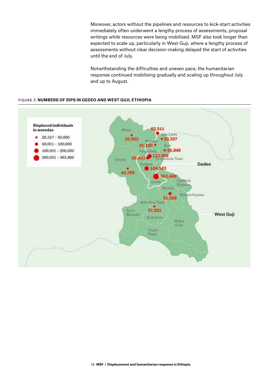Moreover, actors without the pipelines and resources to kick-start activities immediately often underwent a lengthy process of assessments, proposal writings while resources were being mobilised. MSF also took longer than expected to scale up, particularly in West Guji, where a lengthy process of assessments without clear decision-making delayed the start of activities until the end of July.

Notwithstanding the difficulties and uneven pace, the humanitarian response continued mobilising gradually and scaling up throughout July and up to August.



#### figure 2. **NUMBERS OF IDPS IN GEDEO AND WEST GUJI, ETHIOPIA**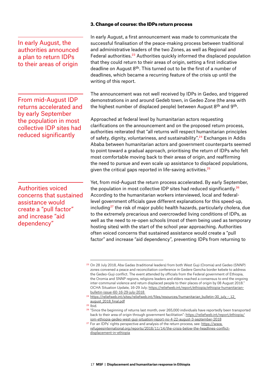## In early August, the authorities announced a plan to return IDPs to their areas of origin

From mid-August IDP returns accelerated and by early September the population in most collective IDP sites had reduced significantly

Authorities voiced concerns that sustained assistance would create a "pull factor" and increase "aid dependency"

### 3. Change of course: the IDPs return process

In early August, a first announcement was made to communicate the successful finalisation of the peace-making process between traditional and administrative leaders of the two Zones, as well as Regional and Federal authorities.<sup>23</sup> Authorities quickly informed the displaced population that they could return to their areas of origin, setting a first indicative deadline on August 8th. This turned out to be the first of a number of deadlines, which became a recurring feature of the crisis up until the writing of this report.

The announcement was not well received by IDPs in Gedeo, and triggered demonstrations in and around Gedeb town, in Gedeo Zone (the area with the highest number of displaced people) between August 8th and 9th.

Approached at federal level by humanitarian actors requesting clarifications on the announcement and on the proposed return process, authorities reiterated that "all returns will respect humanitarian principles of safety, dignity, voluntariness, and sustainability".<sup>24</sup> Exchanges in Addis Ababa between humanitarian actors and government counterparts seemed to point toward a gradual approach, prioritising the return of IDPs who felt most comfortable moving back to their areas of origin, and reaffirming the need to pursue and even scale up assistance to displaced populations, given the critical gaps reported in life-saving activities.<sup>25</sup>

Yet, from mid-August the return process accelerated. By early September, the population in most collective IDP sites had reduced significantly.<sup>26</sup> According to the humanitarian workers interviewed, local and federallevel government officials gave different explanations for this speed-up,  $including<sup>27</sup>$  the risk of major public health hazards, particularly cholera, due to the extremely precarious and overcrowded living conditions of IDPs, as well as the need to re-open schools (most of them being used as temporary hosting sites) with the start of the school year approaching. Authorities often voiced concerns that sustained assistance would create a "pull factor" and increase "aid dependency", preventing IDPs from returning to

<sup>23</sup> On 28 July 2018, Aba Gadas (traditional leaders) from both West Guji (Oromia) and Gedeo (SNNP) zones convened a peace and reconciliation conference in Gedere Gencha border kebele to address the Gedeo-Guji conflict. The event attended by officials from the Federal government of Ethiopia, the Oromia and SNNP regions, religions leaders and elders reached a consensus to end the ongoing inter-communal violence and return displaced people to their places of origin by 08 August 2018." OCHA Situation Update, 16-29 July; [https://reliefweb.int/report/ethiopia/ethiopia-humanitarian](https://reliefweb.int/report/ethiopia/ethiopia-humanitarian-bulletin-issue-60-16-29-july-2018)[bulletin-issue-60-16-29-july-2018](https://reliefweb.int/report/ethiopia/ethiopia-humanitarian-bulletin-issue-60-16-29-july-2018) 

<sup>&</sup>lt;sup>24</sup> https://reliefweb.int/sites/reliefweb.int/files/resources/humanitarian\_bulletin-30\_july -\_12\_ [august\\_2018\\_final.pdf](https://reliefweb.int/sites/reliefweb.int/files/resources/humanitarian_bulletin-30_july_-_12_august_2018_final.pdf)

<sup>25</sup> Ibid.

<sup>&</sup>lt;sup>26</sup> "Since the beginning of returns last month, over 265,000 individuals have reportedly been transported back to their area of origin through government facilitation": [https://reliefweb.int/report/ethiopia/](https://reliefweb.int/report/ethiopia/iom-ethiopia-gedeo-west-guji-situation-report-no-4-22-august-3-september-2018) [iom-ethiopia-gedeo-west-guji-situation-report-no-4-22-august-3-september-2018](https://reliefweb.int/report/ethiopia/iom-ethiopia-gedeo-west-guji-situation-report-no-4-22-august-3-september-2018)

<sup>&</sup>lt;sup>27</sup> For an IDPs' rights perspective and analysis of the return process, see: [https://www.](https://www.refugeesinternational.org/reports/2018/11/14/the-crisis-below-the-headlines-conflict-displacement-in-ethiopia) [refugeesinternational.org/reports/2018/11/14/the-crisis-below-the-headlines-conflict](https://www.refugeesinternational.org/reports/2018/11/14/the-crisis-below-the-headlines-conflict-displacement-in-ethiopia)[displacement-in-ethiopia](https://www.refugeesinternational.org/reports/2018/11/14/the-crisis-below-the-headlines-conflict-displacement-in-ethiopia)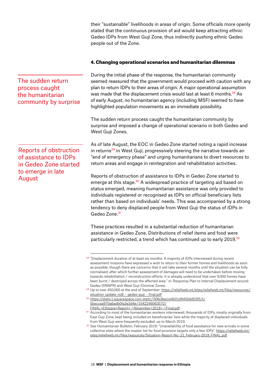their "sustainable" livelihoods in areas of origin. Some officials more openly stated that the continuous provision of aid would keep attracting ethnic Gedeo IDPs from West Guji Zone, thus indirectly pushing ethnic Gedeo people out of the Zone.

### 4. Changing operational scenarios and humanitarian dilemmas

During the initial phase of the response, the humanitarian community seemed reassured that the government would proceed with caution with any plan to return IDPs to their areas of origin. A major operational assumption was made that the displacement crisis would last at least 6 months.<sup>28</sup> As of early August, no humanitarian agency (including MSF) seemed to have highlighted population movements as an immediate possibility.

The sudden return process caught the humanitarian community by surprise and imposed a change of operational scenario in both Gedeo and West Guji Zones.

As of late August, the EOC in Gedeo Zone started noting a rapid increase in returns<sup>29</sup> in West Guji, progressively steering the narrative towards an "end of emergency phase" and urging humanitarians to divert resources to return areas and engage in reintegration and rehabilitation activities.

Reports of obstruction of assistance to IDPs in Gedeo Zone started to emerge at this stage.<sup>30</sup> A widespread practice of targeting aid based on status emerged, meaning humanitarian assistance was only provided to individuals registered or recognised as IDPs on official beneficiary lists rather than based on individuals' needs. This was accompanied by a strong tendency to deny displaced people from West Guji the status of IDPs in Gedeo Zone.<sup>31</sup>

These practices resulted in a substantial reduction of humanitarian assistance in Gedeo Zone. Distributions of relief items and food were particularly restricted, a trend which has continued up to early 2019.<sup>32</sup>

## The sudden return process caught the humanitarian community by surprise

Reports of obstruction of assistance to IDPs in Gedeo Zone started to emerge in late August

<sup>&</sup>lt;sup>28</sup> "Displacement duration of at least six months: A majority of IDPs interviewed during recent assessment missions have expressed a wish to return to their former homes and livelihoods as soon as possible, though there are concerns that it will take several months until the situation can be fully normalised, after which further assessment of damages will need to be undertaken before moving towards rehabilitation / reconstruction efforts. It is already understood that over 9,000 homes have been burnt / destroyed across the affected area." in: Response Plan to Internal Displacement around Gedeo (SNNPR) and West Guji (Oromia) Zones.

<sup>&</sup>lt;sup>29</sup> Up to over 450,000 at the end of September: [https://reliefweb.int/sites/reliefweb.int/files/resources/](https://reliefweb.int/sites/reliefweb.int/files/resources/situation_update_no8_-_gedeo-guji_-_final.pdf
) situation\_update\_no8 - gedeo-guji - final.pdf

<sup>30</sup> [https://static1.squarespace.com static/506c8ea1e4b01d9450dd53f5/t/](https://static1.squarespace.com static/506c8ea1e4b01d9450dd53f5/t/5beccea970a6adb0fa3e3d4e/1542246063572/FINAL+Ethiopia+Report+-+November+2018+-+Final.pdf) [5beccea970a6adb0fa3e3d4e/1542246063572/](https://static1.squarespace.com static/506c8ea1e4b01d9450dd53f5/t/5beccea970a6adb0fa3e3d4e/1542246063572/FINAL+Ethiopia+Report+-+November+2018+-+Final.pdf)

[FINAL+Ethiopia+Report+-+November+2018+-+Final.pdf](https://static1.squarespace.com static/506c8ea1e4b01d9450dd53f5/t/5beccea970a6adb0fa3e3d4e/1542246063572/FINAL+Ethiopia+Report+-+November+2018+-+Final.pdf)

<sup>31</sup> According to most of the humanitarian workers interviewed, thousands of IDPs, mostly originally from East Guji Zone, kept being included on beneficiaries' lists while the majority of displaced individuals from West Guji were frequently excluded, up to March 2019.

<sup>32</sup> See Humanitarian Bulletin, February 2019: "Unavailability of food assistance for new arrivals in some collective sites where the master list for food provision targets only a few IDPs". [https://reliefweb.int/](https://reliefweb.int/sites/reliefweb.int/files/resources/Situation-Report-No.-21_February-2019_FINAL.pdf) [sites/reliefweb.int/files/resources/Situation-Report-No.-21\\_February-2019\\_FINAL.pdf](https://reliefweb.int/sites/reliefweb.int/files/resources/Situation-Report-No.-21_February-2019_FINAL.pdf)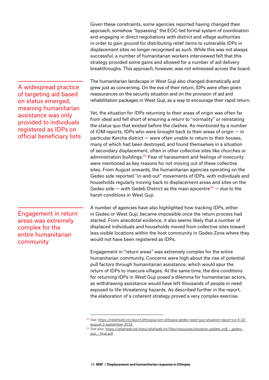Given these constraints, some agencies reported having changed their approach, somehow "bypassing" the EOC-led formal system of coordination and engaging in direct negotiations with district and village authorities in order to gain ground for distributing relief items to vulnerable IDPs in displacement sites no longer recognised as such. While this was not always successful, a number of humanitarian workers interviewed felt that this strategy provided some gains and allowed for a number of aid delivery breakthroughs. This approach, however, was not witnessed across the board.

The humanitarian landscape in West Guji also changed dramatically and grew just as concerning. On the eve of their return, IDPs were often given reassurances on the security situation and on the provision of aid and rehabilitation packages in West Guji, as a way to encourage their rapid return.

Yet, the situation for IDPs returning to their areas of origin was often far from ideal and fell short of ensuring a return to "normality" or reinstating the status quo that existed before the clashes. As mentioned by a number of IOM reports, IDPs who were brought back to their areas of origin  $-$  in particular Kercha district — were often unable to return to their houses, many of which had been destroyed, and found themselves in a situation of secondary displacement, often in other collective sites like churches or administration buildings.<sup>33</sup> Fear of harassment and feelings of insecurity were mentioned as key reasons for not moving out of these collective sites. From August onwards, the humanitarian agencies operating on the Gedeo side reported "in-and-out" movements of IDPs, with individuals and households regularly moving back to displacement areas and sites on the Gedeo side — with Gedeb District as the main epicentre<sup>34</sup> — due to the harsh conditions in West Guji.

A number of agencies have also highlighted how tracking IDPs, either in Gedeo or West Guji, became impossible once the return process had started. From anecdotal evidence, it also seems likely that a number of displaced individuals and households moved from collective sites toward less visible locations within the host community in Gedeo Zone where they would not have been registered as IDPs.

Engagement in "return areas" was extremely complex for the entire humanitarian community. Concerns were high about the rise of potential pull factors through humanitarian assistance, which would spur the return of IDPs to insecure villages. At the same time, the dire conditions for returning IDPs in West Guji posed a dilemma for humanitarian actors, as withdrawing assistance would have left thousands of people in need exposed to life-threatening hazards. As described further in the report, the elaboration of a coherent strategy proved a very complex exercise.

A widespread practice of targeting aid based on status emerged, meaning humanitarian assistance was only provided to individuals registered as IDPs on official beneficiary lists

Engagement in return areas was extremely complex for the entire humanitarian community

<sup>33</sup> See: [https://reliefweb.int/report/ethiopia/iom-ethiopia-gedeo-west-guji-situation-report-no-4-22](https://reliefweb.int/report/ethiopia/iom-ethiopia-gedeo-west-guji-situation-report-no-4-22-august-3-september-2018) [august-3-september-2018](https://reliefweb.int/report/ethiopia/iom-ethiopia-gedeo-west-guji-situation-report-no-4-22-august-3-september-2018)

<sup>34</sup> See also: https://reliefweb.int/sites/reliefweb.int/files/resources/situation update no8 - gedeoguji - final.pdf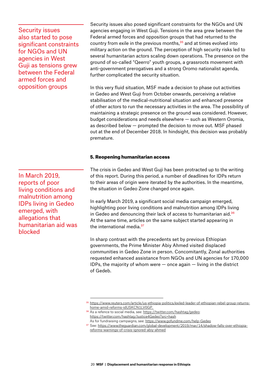Security issues also started to pose significant constraints for NGOs and UN agencies in West Guji as tensions grew between the Federal armed forces and opposition groups

Security issues also posed significant constraints for the NGOs and UN agencies engaging in West Guji. Tensions in the area grew between the Federal armed forces and opposition groups that had returned to the country from exile in the previous months, $35$  and at times evolved into military action on the ground. The perception of high security risks led to several humanitarian actors scaling down operations. The presence on the ground of so-called "Qeerro" youth groups, a grassroots movement with anti-government prerogatives and a strong Oromo nationalist agenda, further complicated the security situation.

In this very fluid situation, MSF made a decision to phase out activities in Gedeo and West Guji from October onwards, perceiving a relative stabilisation of the medical-nutritional situation and enhanced presence of other actors to run the necessary activities in the area. The possibility of maintaining a strategic presence on the ground was considered. However, budget considerations and needs elsewhere — such as Western Oromia, as described below — prompted the decision to move out. MSF phased out at the end of December 2018. In hindsight, this decision was probably premature.

### 5. Reopening humanitarian access

The crisis in Gedeo and West Guji has been protracted up to the writing of this report. During this period, a number of deadlines for IDPs return to their areas of origin were iterated by the authorities. In the meantime, the situation in Gedeo Zone changed once again.

In early March 2019, a significant social media campaign emerged, highlighting poor living conditions and malnutrition among IDPs living in Gedeo and denouncing their lack of access to humanitarian aid. $36$ At the same time, articles on the same subject started appearing in the international media<sup>37</sup>

In sharp contrast with the precedents set by previous Ethiopian governments, the Prime Minister Abiy Ahmed visited displaced communities in Gedeo Zone in person. Concomitantly, Zonal authorities requested enhanced assistance from NGOs and UN agencies for 170,000 IDPs, the majority of whom were  $-$  once again  $-$  living in the district of Gedeb.

36 As a refence to social media, see: https://twitter.com/hashtag/gedeo; <https://twitter.com/hashtag/Justice4Gedeo?src=hash>

In March 2019, reports of poor living conditions and malnutrition among IDPs living in Gedeo emerged, with allegations that humanitarian aid was blocked

<sup>35</sup> [https://www.reuters.com/article/us-ethiopia-politics/exiled-leader-of-ethiopian-rebel-group-returns](https://www.reuters.com/article/us-ethiopia-politics/exiled-leader-of-ethiopian-rebel-group-returns-home-amid-reforms-idUSKCN1LV0GP.)[home-amid-reforms-idUSKCN1LV0GP.](https://www.reuters.com/article/us-ethiopia-politics/exiled-leader-of-ethiopian-rebel-group-returns-home-amid-reforms-idUSKCN1LV0GP.) 

As for fundraising campaigns, see: <https://www.gofundme.com/help-Gedeo>

<sup>37</sup> See: [https://www.theguardian.com/global-development/2019/mar/14/shadow-falls-over-ethiopia](https://www.theguardian.com/global-development/2019/mar/14/shadow-falls-over-ethiopia-reforms-warnings-of-crisis-ignored-abiy-ahmed)[reforms-warnings-of-crisis-ignored-abiy-ahmed](https://www.theguardian.com/global-development/2019/mar/14/shadow-falls-over-ethiopia-reforms-warnings-of-crisis-ignored-abiy-ahmed)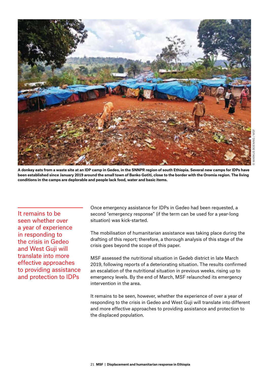

**A donkey eats from a waste site at an IDP camp in Gedeo, in the SNNPR region of south Ethiopia. Several new camps for IDPs have been established since January 2019 around the small town of Banko Gotiti, close to the border with the Oromia region. The living conditions in the camps are deplorable and people lack food, water and basic items.**

It remains to be seen whether over a year of experience in responding to the crisis in Gedeo and West Guji will translate into more effective approaches to providing assistance and protection to IDPs

Once emergency assistance for IDPs in Gedeo had been requested, a second "emergency response" (if the term can be used for a year-long situation) was kick-started.

The mobilisation of humanitarian assistance was taking place during the drafting of this report; therefore, a thorough analysis of this stage of the crisis goes beyond the scope of this paper.

MSF assessed the nutritional situation in Gedeb district in late March 2019, following reports of a deteriorating situation. The results confirmed an escalation of the nutritional situation in previous weeks, rising up to emergency levels. By the end of March, MSF relaunched its emergency intervention in the area.

It remains to be seen, however, whether the experience of over a year of responding to the crisis in Gedeo and West Guji will translate into different and more effective approaches to providing assistance and protection to the displaced population.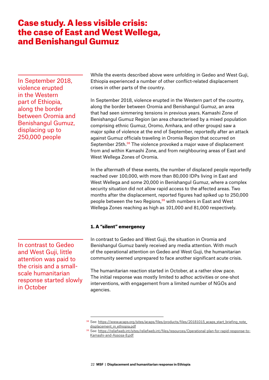# Case study. A less visible crisis: the case of East and West Wellega, and Benishangul Gumuz

In September 2018, violence erupted in the Western part of Ethiopia, along the border between Oromia and Benishangul Gumuz, displacing up to 250,000 people

In contrast to Gedeo and West Guji, little attention was paid to the crisis and a smallscale humanitarian response started slowly in October

While the events described above were unfolding in Gedeo and West Guji, Ethiopia experienced a number of other conflict-related displacement crises in other parts of the country.

In September 2018, violence erupted in the Western part of the country, along the border between Oromia and Benishangul Gumuz, an area that had seen simmering tensions in previous years. Kamashi Zone of Benishangul Gumuz Region (an area characterised by a mixed population comprising ethnic Gumuz, Oromo, Amhara, and other groups) saw a major spike of violence at the end of September, reportedly after an attack against Gumuz officials traveling in Oromia Region that occurred on September 25th.<sup>38</sup> The violence provoked a major wave of displacement from and within Kamashi Zone, and from neighbouring areas of East and West Wellega Zones of Oromia.

In the aftermath of these events, the number of displaced people reportedly reached over 100,000, with more than 80,000 IDPs living in East and West Wellega and some 20,000 in Benishangul Gumuz, where a complex security situation did not allow rapid access to the affected areas. Two months after the displacement, reported figures had spiked up to 250,000 people between the two Regions,<sup>39</sup> with numbers in East and West Wellega Zones reaching as high as 101,000 and 81,000 respectively.

### 1. A "silent" emergency

In contrast to Gedeo and West Guji, the situation in Oromia and Benishangul Gumuz barely received any media attention. With much of the operational attention on Gedeo and West Guji, the humanitarian community seemed unprepared to face another significant acute crisis.

The humanitarian reaction started in October, at a rather slow pace. The initial response was mostly limited to adhoc activities or one-shot interventions, with engagement from a limited number of NGOs and agencies.

<sup>38</sup> See: https://www.acaps.org/sites/acaps/files/products/files/20181015 acaps start briefing note displacement in ethiopia.pdf

<sup>39</sup> See: [https://reliefweb.int/sites/reliefweb.int/files/resources/Operational-plan-for-rapid-response-to-](https://reliefweb.int/sites/reliefweb.int/files/resources/Operational-plan-for-rapid-response-to-Kamashi-and-Assosa-8.pdf)[Kamashi-and-Assosa-8.pdf](https://reliefweb.int/sites/reliefweb.int/files/resources/Operational-plan-for-rapid-response-to-Kamashi-and-Assosa-8.pdf)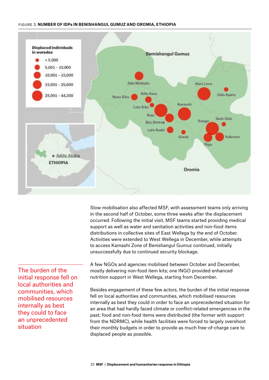### figure 3. **NUMBER OF IDPs IN BENISHANGUL GUMUZ AND OROMIA, ETHIOPIA**



Slow mobilisation also affected MSF, with assessment teams only arriving in the second half of October, some three weeks after the displacement occurred. Following the initial visit, MSF teams started providing medical support as well as water and sanitation activities and non-food items distributions in collective sites of East Wellega by the end of October. Activities were extended to West Wellega in December, while attempts to access Kamashi Zone of Benishangul Gumuz continued, initially unsuccessfully due to continued security blockage.

The burden of the initial response fell on local authorities and communities, which mobilised resources internally as best they could to face an unprecedented situation

A few NGOs and agencies mobilised between October and December, mostly delivering non-food item kits; one INGO provided enhanced nutrition support in West Wellega, starting from December.

Besides engagement of these few actors, the burden of the initial response fell on local authorities and communities, which mobilised resources internally as best they could in order to face an unprecedented situation for an area that had hardly faced climate or conflict-related emergencies in the past; food and non-food items were distributed (the former with support from the NDRMC), while health facilities were forced to largely overshoot their monthly budgets in order to provide as much free-of-charge care to displaced people as possible.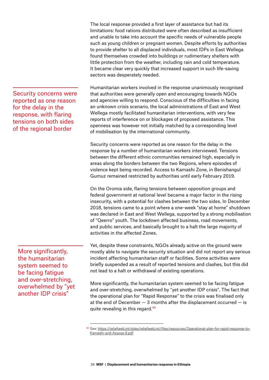The local response provided a first layer of assistance but had its limitations: food rations distributed were often described as insufficient and unable to take into account the specific needs of vulnerable people such as young children or pregnant women. Despite efforts by authorities to provide shelter to all displaced individuals, most IDPs in East Wellega found themselves crowded into buildings or rudimentary shelters with little protection from the weather, including rain and cold temperature. It became clear very quickly that increased support in such life-saving sectors was desperately needed.

Humanitarian workers involved in the response unanimously recognised that authorities were generally open and encouraging towards NGOs and agencies willing to respond. Conscious of the difficulties in facing an unknown crisis scenario, the local administrations of East and West Wellega mostly facilitated humanitarian interventions, with very few reports of interference on or blockages of proposed assistance. This openness was however not initially matched by a corresponding level of mobilisation by the international community.

Security concerns were reported as one reason for the delay in the response by a number of humanitarian workers interviewed. Tensions between the different ethnic communities remained high, especially in areas along the borders between the two Regions, where episodes of violence kept being recorded. Access to Kamashi Zone, in Benishangul Gumuz remained restricted by authorities until early February 2019.

On the Oromia side, flaring tensions between opposition groups and federal government at national level became a major factor in the rising insecurity, with a potential for clashes between the two sides. In December 2018, tensions came to a point where a one-week "stay at home" shutdown was declared in East and West Wellega, supported by a strong mobilisation of "Qeerro" youth. The lockdown affected business, road movements, and public services, and basically brought to a halt the large majority of activities in the affected Zones.

Yet, despite these constraints, NGOs already active on the ground were mostly able to navigate the security situation and did not report any serious incident affecting humanitarian staff or facilities. Some activities were briefly suspended as a result of reported tensions and clashes, but this did not lead to a halt or withdrawal of existing operations.

More significantly, the humanitarian system seemed to be facing fatigue and over-stretching, overwhelmed by "yet another IDP crisis". The fact that the operational plan for "Rapid Response" to the crisis was finalised only at the end of December  $-$  3 months after the displacement occurred  $-$  is quite revealing in this regard.<sup>40</sup>

Security concerns were reported as one reason for the delay in the response, with flaring tensions on both sides of the regional border

More significantly. the humanitarian system seemed to be facing fatigue and over-stretching, overwhelmed by "yet another IDP crisis"

<sup>40</sup> See: [https://reliefweb.int/sites/reliefweb.int/files/resources/Operational-plan-for-rapid-response-to-](https://reliefweb.int/sites/reliefweb.int/files/resources/Operational-plan-for-rapid-response-to-Kamashi-and-Assosa-8.pdf)[Kamashi-and-Assosa-8.pdf](https://reliefweb.int/sites/reliefweb.int/files/resources/Operational-plan-for-rapid-response-to-Kamashi-and-Assosa-8.pdf)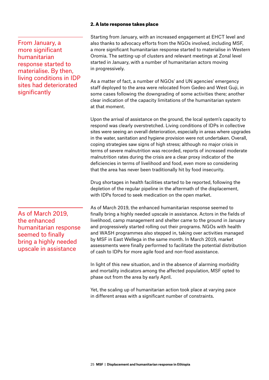From January, a more significant humanitarian response started to materialise. By then, living conditions in IDP sites had deteriorated significantly

As of March 2019, the enhanced humanitarian response seemed to finally bring a highly needed upscale in assistance

### 2. A late response takes place

Starting from January, with an increased engagement at EHCT level and also thanks to advocacy efforts from the NGOs involved, including MSF, a more significant humanitarian response started to materialise in Western Oromia. The setting-up of clusters and relevant meetings at Zonal level started in January, with a number of humanitarian actors moving in progressively.

As a matter of fact, a number of NGOs' and UN agencies' emergency staff deployed to the area were relocated from Gedeo and West Guji, in some cases following the downgrading of some activities there; another clear indication of the capacity limitations of the humanitarian system at that moment.

Upon the arrival of assistance on the ground, the local system's capacity to respond was clearly overstretched. Living conditions of IDPs in collective sites were seeing an overall deterioration, especially in areas where upgrades in the water, sanitation and hygiene provision were not undertaken. Overall, coping strategies saw signs of high stress; although no major crisis in terms of severe malnutrition was recorded, reports of increased moderate malnutrition rates during the crisis are a clear proxy indicator of the deficiencies in terms of livelihood and food, even more so considering that the area has never been traditionally hit by food insecurity.

Drug shortages in health facilities started to be reported, following the depletion of the regular pipeline in the aftermath of the displacement, with IDPs forced to seek medication on the open market.

As of March 2019, the enhanced humanitarian response seemed to finally bring a highly needed upscale in assistance. Actors in the fields of livelihood, camp management and shelter came to the ground in January and progressively started rolling out their programs. NGOs with health and WASH programmes also stepped in, taking over activities managed by MSF in East Wellega in the same month. In March 2019, market assessments were finally performed to facilitate the potential distribution of cash to IDPs for more agile food and non-food assistance.

In light of this new situation, and in the absence of alarming morbidity and mortality indicators among the affected population, MSF opted to phase out from the area by early April.

Yet, the scaling up of humanitarian action took place at varying pace in different areas with a significant number of constraints.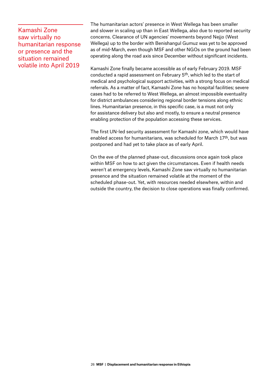Kamashi Zone saw virtually no humanitarian response or presence and the situation remained volatile into April 2019

The humanitarian actors' presence in West Wellega has been smaller and slower in scaling up than in East Wellega, also due to reported security concerns. Clearance of UN agencies' movements beyond Nejjo (West Wellega) up to the border with Benishangul Gumuz was yet to be approved as of mid-March, even though MSF and other NGOs on the ground had been operating along the road axis since December without significant incidents.

Kamashi Zone finally became accessible as of early February 2019. MSF conducted a rapid assessment on February 5th, which led to the start of medical and psychological support activities, with a strong focus on medical referrals. As a matter of fact, Kamashi Zone has no hospital facilities; severe cases had to be referred to West Wellega, an almost impossible eventuality for district ambulances considering regional border tensions along ethnic lines. Humanitarian presence, in this specific case, is a must not only for assistance delivery but also and mostly, to ensure a neutral presence enabling protection of the population accessing these services.

The first UN-led security assessment for Kamashi zone, which would have enabled access for humanitarians, was scheduled for March 17th, but was postponed and had yet to take place as of early April.

On the eve of the planned phase-out, discussions once again took place within MSF on how to act given the circumstances. Even if health needs weren't at emergency levels, Kamashi Zone saw virtually no humanitarian presence and the situation remained volatile at the moment of the scheduled phase-out. Yet, with resources needed elsewhere, within and outside the country, the decision to close operations was finally confirmed.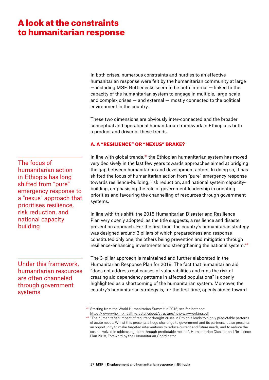# A look at the constraints to humanitarian response

In both crises, numerous constraints and hurdles to an effective humanitarian response were felt by the humanitarian community at large — including MSF. Bottlenecks seem to be both internal — linked to the capacity of the humanitarian system to engage in multiple, large-scale and complex crises  $-$  and external  $-$  mostly connected to the political environment in the country.

These two dimensions are obviously inter-connected and the broader conceptual and operational humanitarian framework in Ethiopia is both a product and driver of these trends.

### A. A "RESILIENCE" OR "NEXUS" BRAKE?

In line with global trends, $41$  the Ethiopian humanitarian system has moved very decisively in the last few years towards approaches aimed at bridging the gap between humanitarian and development actors. In doing so, it has shifted the focus of humanitarian action from "pure" emergency response towards resilience-building, risk reduction, and national system capacitybuilding, emphasising the role of government leadership in orienting priorities and favouring the channelling of resources through government systems.

In line with this shift, the 2018 Humanitarian Disaster and Resilience Plan very openly adopted, as the title suggests, a resilience and disaster prevention approach. For the first time, the country´s humanitarian strategy was designed around 3 pillars of which preparedness and response constituted only one, the others being prevention and mitigation through resilience-enhancing investments and strengthening the national system.<sup>42</sup>

The 3-pillar approach is maintained and further elaborated in the Humanitarian Response Plan for 2019. The fact that humanitarian aid "does not address root causes of vulnerabilities and runs the risk of creating aid dependency patterns in affected populations" is openly highlighted as a shortcoming of the humanitarian system. Moreover, the country's humanitarian strategy is, for the first time, openly aimed toward

The focus of humanitarian action in Ethiopia has long shifted from "pure" emergency response to a "nexus" approach that prioritises resilience, risk reduction, and national capacity building

Under this framework, humanitarian resources are often channeled through government systems

<sup>41</sup> Starting from the World Humanitarian Summit in 2016; see for instance: <https://www.who.int/health-cluster/about/structure/new-way-working.pdf>

 $42$  "The humanitarian impact of recurrent drought crises in Ethiopia leads to highly predictable patterns of acute needs. Whilst this presents a huge challenge to government and its partners, it also presents an opportunity to make targeted interventions to reduce current and future needs, and to reduce the costs involved in addressing them through predictable means.", Humanitarian Disaster and Resilience Plan 2018, Foreword by the Humanitarian Coordinator.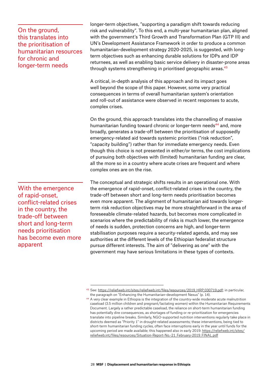### On the ground, this translates into the prioritisation of humanitarian resources for chronic and longer-term needs

With the emergence of rapid-onset, conflict-related crises in the country, the trade-off between short and long-term needs prioritisation has become even more apparent

longer-term objectives, "supporting a paradigm shift towards reducing risk and vulnerability". To this end, a multi-year humanitarian plan, aligned with the government's Third Growth and Transformation Plan (GTP III) and UN's Development Assistance Framework in order to produce a common humanitarian-development strategy 2020-2025, is suggested, with longterm objectives such as enhancing durable solutions for IDPs and IDP returnees, as well as enabling basic service delivery in disaster-prone areas through systems strengthening in prioritised geographic areas.<sup>43</sup>

A critical, in-depth analysis of this approach and its impact goes well beyond the scope of this paper. However, some very practical consequences in terms of overall humanitarian system's orientation and roll-out of assistance were observed in recent responses to acute, complex crises.

On the ground, this approach translates into the channelling of massive humanitarian funding toward chronic or longer-term needs<sup>44</sup> and, more broadly, generates a trade-off between the prioritisation of supposedly emergency-related aid towards systemic priorities ("risk reduction", "capacity building") rather than for immediate emergency needs. Even though this choice is not presented in either/or terms, the cost implications of pursuing both objectives with (limited) humanitarian funding are clear, all the more so in a country where acute crises are frequent and where complex ones are on the rise.

The conceptual and strategic shifts results in an operational one. With the emergence of rapid-onset, conflict-related crises in the country, the trade-off between short and long-term needs prioritisation becomes even more apparent. The alignment of humanitarian aid towards longerterm risk reduction objectives may be more straightforward in the area of foreseeable climate-related hazards, but becomes more complicated in scenarios where the predictability of risks is much lower, the emergence of needs is sudden, protection concerns are high, and longer-term stabilisation purposes require a security-related agenda, and may see authorities at the different levels of the Ethiopian federalist structure pursue different interests. The aim of "delivering as one" with the government may have serious limitations in these types of contexts.

<sup>43</sup> See: [https://reliefweb.int/sites/reliefweb.int/files/resources/2019\\_HRP\\_030719.pdf](https://reliefweb.int/sites/reliefweb.int/files/resources/2019_HRP_030719.pdf); in particular, the paragraph on "Enhancing the Humanitarian-development Nexus" (p. 14).

<sup>44</sup> A very clear example in Ethiopia is the integration of the country-wide moderate acute malnutrition caseload (3.5 million children and pregnant/lactating women) within the Humanitarian Requirements Document. Largely a rather predictable caseload, the reliance on short-term humanitarian funding has potentially dire consequences, as shortages of funding or re-prioritization for emergencies translate into pipeline breaks. Similarly, NGO-supported nutrition interventions regularly take place in districts deemed as "Priority 1" in drought-related assessments; these interventions, being tied to short-term humanitarian funding cycles, often face interruptions early in the year until funds for the upcoming period are made available; this happened also in early 2019: [https://reliefweb.int/sites/](https://reliefweb.int/sites/reliefweb.int/files/resources/Situation-Report-No.-21_February-2019_FINAL.pdf) [reliefweb.int/files/resources/Situation-Report-No.-21\\_February-2019\\_FINAL.pdf](https://reliefweb.int/sites/reliefweb.int/files/resources/Situation-Report-No.-21_February-2019_FINAL.pdf)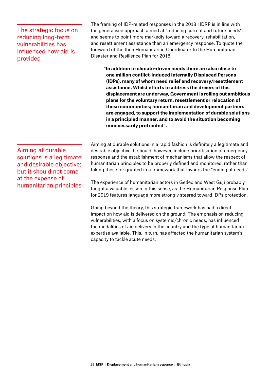The strategic focus on reducing long-term vulnerabilities has influenced how aid is provided

The framing of IDP-related responses in the 2018 HDRP is in line with the generalised approach aimed at "reducing current and future needs", and seems to point more markedly toward a recovery, rehabilitation, and resettlement assistance than an emergency response. To quote the foreword of the then Humanitarian Coordinator to the Humanitarian Disaster and Resilience Plan for 2018:

**"In addition to climate-driven needs there are also close to one million conflict-induced Internally Displaced Persons (IDPs), many of whom need relief and recovery/resettlement assistance. Whilst efforts to address the drivers of this displacement are underway, Government is rolling out ambitious plans for the voluntary return, resettlement or relocation of these communities; humanitarian and development partners are engaged, to support the implementation of durable solutions in a principled manner, and to avoid the situation becoming unnecessarily protracted".**

Aiming at durable solutions is a legitimate and desirable objective; but it should not come at the expense of humanitarian principles Aiming at durable solutions in a rapid fashion is definitely a legitimate and desirable objective. It should, however, include prioritisation of emergency response and the establishment of mechanisms that allow the respect of humanitarian principles to be properly defined and monitored, rather than taking these for granted in a framework that favours the "ending of needs".

The experience of humanitarian actors in Gedeo and West Guji probably taught a valuable lesson in this sense, as the Humanitarian Response Plan for 2019 features language more strongly steered toward IDPs protection.

Going beyond the theory, this strategic framework has had a direct impact on how aid is delivered on the ground. The emphasis on reducing vulnerabilities, with a focus on systemic/chronic needs, has influenced the modalities of aid delivery in the country and the type of humanitarian expertise available. This, in turn, has affected the humanitarian system's capacity to tackle acute needs.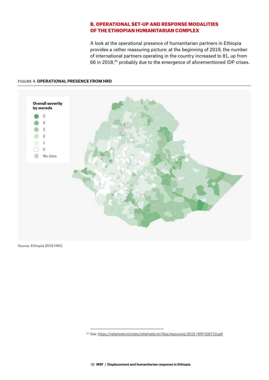### B. OPERATIONAL SET-UP AND RESPONSE MODALITIES OF THE ETHIOPIAN HUMANITARIAN COMPLEX

A look at the operational presence of humanitarian partners in Ethiopia provides a rather reassuring picture: at the beginning of 2019, the number of international partners operating in the country increased to 81, up from 66 in 2018,45 probably due to the emergence of aforementioned IDP crises.



### figure 4. **OPERATIONAL PRESENCE FROM HRD**

Source: Ethiopia 2019 HNO.

<sup>45</sup> See: [https://reliefweb.int/sites/reliefweb.int/files/resources/2019\\_HRP\\_030719.pdf](https://reliefweb.int/sites/reliefweb.int/files/resources/2019_HRP_030719.pdf)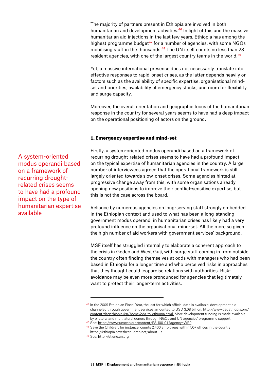The majority of partners present in Ethiopia are involved in both humanitarian and development activities.<sup>46</sup> In light of this and the massive humanitarian aid injections in the last few years, Ethiopia has among the highest programme budget $47$  for a number of agencies, with some NGOs mobilising staff in the thousands.<sup>48</sup> The UN itself counts no less than 28 resident agencies, with one of the largest country teams in the world.<sup>49</sup>

Yet, a massive international presence does not necessarily translate into effective responses to rapid-onset crises, as the latter depends heavily on factors such as the availability of specific expertise, organisational mindset and priorities, availability of emergency stocks, and room for flexibility and surge capacity.

Moreover, the overall orientation and geographic focus of the humanitarian response in the country for several years seems to have had a deep impact on the operational positioning of actors on the ground.

### 1. Emergency expertise and mind-set

Firstly, a system-oriented modus operandi based on a framework of recurring drought-related crises seems to have had a profound impact on the typical expertise of humanitarian agencies in the country. A large number of interviewees agreed that the operational framework is still largely oriented towards slow-onset crises. Some agencies hinted at progressive change away from this, with some organisations already opening new positions to improve their conflict-sensitive expertise, but this is not the case across the board.

Reliance by numerous agencies on long-serving staff strongly embedded in the Ethiopian context and used to what has been a long-standing government modus operandi in humanitarian crises has likely had a very profound influence on the organisational mind-set. All the more so given the high number of aid workers with government services' background.

MSF itself has struggled internally to elaborate a coherent approach to the crisis in Gedeo and West Guji, with surge staff coming in from outside the country often finding themselves at odds with managers who had been based in Ethiopia for a longer time and who perceived risks in approaches that they thought could jeopardise relations with authorities. Riskavoidance may be even more pronounced for agencies that legitimately want to protect their longer-term activities.

47 See:<https://www.unsceb.org/content/FS-I00-01?agency=WFP>

A system-oriented modus operandi based on a framework of recurring droughtrelated crises seems to have had a profound impact on the type of humanitarian expertise available

<sup>46</sup> In the 2009 Ethiopian Fiscal Year, the last for which official data is available, development aid channeled through government services amounted to USD 3.08 billion: [http://www.dagethiopia.org/](http://www.dagethiopia.org/content/dagethiopia/en/home/oda-to-ethiopia.html) [content/dagethiopia/en/home/oda-to-ethiopia.html.](http://www.dagethiopia.org/content/dagethiopia/en/home/oda-to-ethiopia.html) More development funding is made available by bilateral and multilateral donors through NGOs and UN agencies' programme support.

<sup>48</sup> Save the Children, for instance, counts 2,400 employees within 50+ offices in the country: <https://ethiopia.savethechildren.net/about-us>

<sup>49</sup> See:<http://et.one.un.org>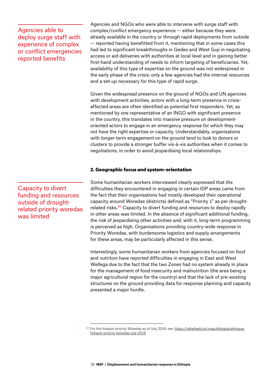### Agencies able to deploy surge staff with experience of complex or conflict emergencies reported benefits

Agencies and NGOs who were able to intervene with surge staff with complex/conflict emergency experience — either because they were already available in the country or through rapid deployments from outside — reported having benefitted from it, mentioning that in some cases this had led to significant breakthroughs in Gedeo and West Guji in negotiating access or aid deliveries with authorities at local level and in gaining better first-hand understanding of needs to inform targeting of beneficiaries. Yet, availability of this type of expertise on the ground was not widespread in the early phase of the crisis; only a few agencies had the internal resources and a set-up necessary for this type of rapid surge.

Given the widespread presence on the ground of NGOs and UN agencies with development activities, actors with a long-term presence in crisisaffected areas are often identified as potential first responders. Yet, as mentioned by one representative of an INGO with significant presence in the country, this translates into massive pressure on developmentoriented actors to engage in an emergency response for which they may not have the right expertise or capacity. Understandably, organisations with longer-term engagement on the ground tend to look to donors or clusters to provide a stronger buffer vis-à-vis authorities when it comes to negotiations, in order to avoid jeopardising local relationships.

### 2. Geographic focus and system-orientation

Some humanitarian workers interviewed clearly expressed that the difficulties they encountered in engaging in certain IDP areas came from the fact that their organisations had mostly developed their operational capacity around Woredas (districts) defined as "Priority 1" as per droughtrelated risks.<sup>50</sup> Capacity to divert funding and resources to deploy rapidly in other areas was limited. In the absence of significant additional funding, the risk of jeopardising other activities and, with it, long-term programming is perceived as high. Organisations providing country-wide response in Priority Woredas, with burdensome logistics and supply arrangements for these areas, may be particularly affected in this sense.

Interestingly, some humanitarian workers from agencies focused on food and nutrition have reported difficulties in engaging in East and West Wellega due to the fact that the two Zones had no system already in place for the management of food insecurity and malnutrition (the area being a major agricultural region for the country) and that the lack of pre-existing structures on the ground providing data for response planning and capacity presented a major hurdle.

Capacity to divert funding and resources outside of droughtrelated priority woredas was limited

<sup>50</sup> For the hotspot priority Woredas as of July 2018, see: [https://reliefweb.int/map/ethiopia/ethiopia](https://reliefweb.int/map/ethiopia/ethiopia-hotspot-priority-woredas-july-2018)[hotspot-priority-woredas-july-2018](https://reliefweb.int/map/ethiopia/ethiopia-hotspot-priority-woredas-july-2018)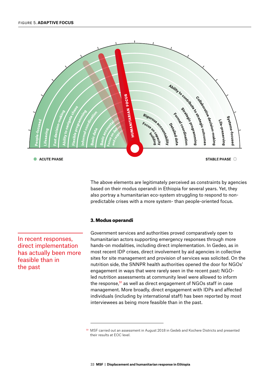

The above elements are legitimately perceived as constraints by agencies based on their modus operandi in Ethiopia for several years. Yet, they also portray a humanitarian eco-system struggling to respond to nonpredictable crises with a more system- than people-oriented focus.

### 3. Modus operandi

Government services and authorities proved comparatively open to humanitarian actors supporting emergency responses through more hands-on modalities, including direct implementation. In Gedeo, as in most recent IDP crises, direct involvement by aid agencies in collective sites for site management and provision of services was solicited. On the nutrition side, the SNNPR health authorities opened the door for NGOs' engagement in ways that were rarely seen in the recent past: NGOled nutrition assessments at community level were allowed to inform the response, $51$  as well as direct engagement of NGOs staff in case management. More broadly, direct engagement with IDPs and affected individuals (including by international staff) has been reported by most interviewees as being more feasible than in the past.

In recent responses, direct implementation has actually been more feasible than in the past

<sup>51</sup> MSF carried out an assessment in August 2018 in Gedeb and Kochere Districts and presented their results at EOC level.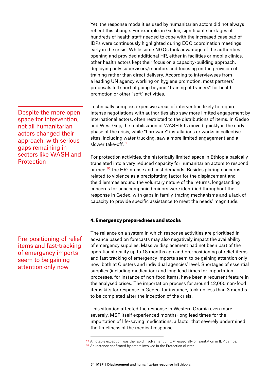Yet, the response modalities used by humanitarian actors did not always reflect this change. For example, in Gedeo, significant shortages of hundreds of health staff needed to cope with the increased caseload of IDPs were continuously highlighted during EOC coordination meetings early in the crisis. While some NGOs took advantage of the authorities´ opening and provided additional HR, either in facilities or mobile clinics, other health actors kept their focus on a capacity-building approach, deploying only supervisors/monitors and focusing on the provision of training rather than direct delivery. According to interviewees from a leading UN agency working on hygiene promotion, most partners' proposals fell short of going beyond "training of trainers" for health promotion or other "soft" activities.

Technically complex, expensive areas of intervention likely to require intense negotiations with authorities also saw more limited engagement by international actors, often restricted to the distributions of items. In Gedeo and West Guji, the mobilisation of WASH kits moved quickly in the early phase of the crisis, while "hardware" installations or works in collective sites, including water trucking, saw a more limited engagement and a slower take-off.<sup>52</sup>

For protection activities, the historically limited space in Ethiopia basically translated into a very reduced capacity for humanitarian actors to respond or meet<sup>53</sup> the HR-intense and cost demands. Besides glaring concerns related to violence as a precipitating factor for the displacement and the dilemmas around the voluntary nature of the returns, longstanding concerns for unaccompanied minors were identified throughout the response in Gedeo, with gaps in family-tracing mechanisms and a lack of capacity to provide specific assistance to meet the needs' magnitude.

### 4. Emergency preparedness and stocks

The reliance on a system in which response activities are prioritised in advance based on forecasts may also negatively impact the availability of emergency supplies. Massive displacement had not been part of the operational reality up to 18 months ago and pre-positioning of relief items and fast-tracking of emergency imports seem to be gaining attention only now, both at Clusters and individual agencies' level. Shortages of essential supplies (including medication) and long lead times for importation processes, for instance of non-food items, have been a recurrent feature in the analysed crises. The importation process for around 12,000 non-food items kits for response in Gedeo, for instance, took no less than 3 months to be completed after the inception of the crisis.

This situation affected the response in Western Oromia even more severely. MSF itself experienced months-long lead times for the importation of life-saving medications, a factor that severely undermined the timeliness of the medical response.

Despite the more open space for intervention, not all humanitarian actors changed their approach, with serious gaps remaining in sectors like WASH and Protection

Pre-positioning of relief items and fast-tracking of emergency imports seem to be gaining attention only now

 $52$  A notable exception was the rapid involvement of IOM, especially on sanitation in IDP camps. 53 An instance confirmed by actors involved in the Protection cluster.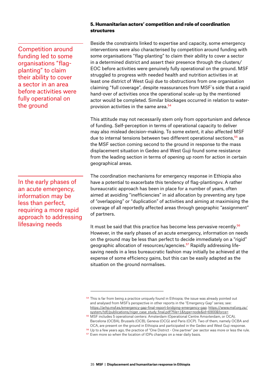### 5. Humanitarian actors' competition and role of coordination structures

Competition around funding led to some organisations "flagplanting" to claim their ability to cover a sector in an area before activities were fully operational on the ground

In the early phases of an acute emergency, information may be less than perfect, requiring a more rapid approach to addressing lifesaving needs

Beside the constraints linked to expertise and capacity, some emergency interventions were also characterised by competition around funding with some organisations "flag-planting" to claim their ability to cover a sector in a determined district and assert their presence through the clusters/ EOC before activities were genuinely fully operational on the ground. MSF struggled to progress with needed health and nutrition activities in at least one district of West Guji due to obstructions from one organisation claiming "full coverage", despite reassurances from MSF´s side that a rapid hand-over of activities once the operational scale-up by the mentioned actor would be completed. Similar blockages occurred in relation to waterprovision activities in the same area.<sup>54</sup>

This attitude may not necessarily stem only from opportunism and defence of funding. Self-perception in terms of operational capacity to deliver may also mislead decision-making. To some extent, it also affected MSF due to internal tensions between two different operational sections,<sup>55</sup> as the MSF section coming second to the ground in response to the mass displacement situation in Gedeo and West Guji found some resistance from the leading section in terms of opening up room for action in certain geographical areas.

The coordination mechanisms for emergency response in Ethiopia also have a potential to exacerbate this tendency of flag-plantingvv. A rather bureaucratic approach has been in place for a number of years, often aimed at avoiding "inefficiencies" in aid allocation by preventing any type of "overlapping" or "duplication" of activities and aiming at maximising the coverage of all reportedly affected areas through geographic "assignment" of partners.

It must be said that this practice has become less pervasive recently.<sup>56</sup> However, in the early phases of an acute emergency, information on needs on the ground may be less than perfect to decide immediately on a "rigid" geographic allocation of resources/agencies.<sup>57</sup> Rapidly addressing lifesaving needs in a less bureaucratic fashion may initially be achieved at the expense of some efficiency gains, but this can be easily adapted as the situation on the ground normalises.

<sup>&</sup>lt;sup>54</sup> This is far from being a practice uniquely found in Ethiopia; the issue was already pointed out and analysed from MSF's perspective in other reports in the "Emergency Gap" series; see: <https://arhp.msf.es/emergency-gap-final-report-bridging-emergency-gap>; [https://www.msf.org.za/](https://www.msf.org.za/system/tdf/publications/niger_case_study_final.pdf?file=1&type=node&id=6900&force=) [system/tdf/publications/niger\\_case\\_study\\_final.pdf?file=1&type=node&id=6900&force=](https://www.msf.org.za/system/tdf/publications/niger_case_study_final.pdf?file=1&type=node&id=6900&force=)

<sup>55</sup> MSF includes 5 operational centers: Amsterdam (Operational Centre Amsvterdam, or OCA), Barcelona (OCBA), Brussels (OCB), Geneva (OCG) and Paris (OCP). Two of them, namely OCBA and OCA, are present on the ground in Ethiopia and participated in the Gedeo and West Guji response.

<sup>56</sup> Up to a few years ago, the practice of "One District - One partner" per sector was more or less the rule.

<sup>&</sup>lt;sup>57</sup> Even more so when the location of IDPs changes on a near daily basis.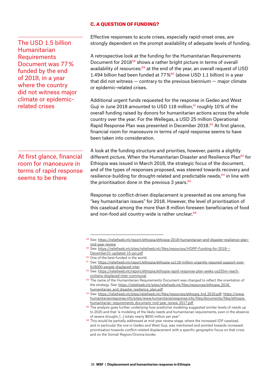The USD 1.5 billion **Humanitarian Requirements** Document was 77 % funded by the end of 2018, in a year where the country did not witness major climate or epidemicrelated crises

At first glance, financial room for manoeuvre in terms of rapid response seems to be there

### C. A QUESTION OF FUNDING?

Effective responses to acute crises, especially rapid-onset ones, are strongly dependent on the prompt availability of adequate levels of funding.

A retrospective look at the funding for the Humanitarian Requirements Document for 2018<sup>58</sup> shows a rather bright picture in terms of overall availability of resources:<sup>59</sup> at the end of the year, an overall request of USD 1.494 billion had been funded at 77%<sup>60</sup> (above USD 1.1 billion) in a year that did not witness  $-$  contrary to the previous biennium  $-$  major climate or epidemic-related crises.

Additional urgent funds requested for the response in Gedeo and West Guji in June 2018 amounted to USD 118 million,<sup>61</sup> roughly 10% of the overall funding raised by donors for humanitarian actions across the whole country over the year. For the Wellegas, a USD 25 million Operational Rapid Response Plan was presented in December 2018.<sup>62</sup> At first glance, financial room for manoeuvre in terms of rapid response seems to have been taken into consideration.

A look at the funding structure and priorities, however, paints a slightly different picture. When the Humanitarian Disaster and Resilience Plan<sup>63</sup> for Ethiopia was issued in March 2018, the strategic focus of the document, and of the types of responses proposed, was steered towards recovery and resilience-building for drought-related and predictable needs,<sup>64</sup> in line with the prioritisation done in the previous  $3$  years.<sup>65</sup>

Response to conflict-driven displacement is presented as one among five "key humanitarian issues" for 2018. However, the level of prioritisation of this caseload among the more than 8 million foreseen beneficiaries of food and non-food aid country-wide is rather unclear. $66$ 

<sup>58</sup> See: [https://reliefweb.int/report/ethiopia/ethiopia-2018-humanitarian-and-disaster-resilience-plan](https://reliefweb.int/report/ethiopia/ethiopia-2018-humanitarian-and-disaster-resilience-plan-mid-year-review)[mid-year-review](https://reliefweb.int/report/ethiopia/ethiopia-2018-humanitarian-and-disaster-resilience-plan-mid-year-review)

<sup>59</sup> See: [https://reliefweb.int/sites/reliefweb.int/files/resources/HDRP-Funding-for-2018---](https://reliefweb.int/sites/reliefweb.int/files/resources/HDRP-Funding-for-2018---December31-updated-15-jan.pdf) [December31-updated-15-jan.pdf](https://reliefweb.int/sites/reliefweb.int/files/resources/HDRP-Funding-for-2018---December31-updated-15-jan.pdf)

<sup>&</sup>lt;sup>60</sup> One of the best-funded in the world.

<sup>61</sup> See: [https://reliefweb.int/report/ethiopia/ethiopia-us118-million-urgently-required-support-over-](https://reliefweb.int/report/ethiopia/ethiopia-us118-million-urgently-required-support-over-818000-people-displaced-inter)[818000-people-displaced-inter](https://reliefweb.int/report/ethiopia/ethiopia-us118-million-urgently-required-support-over-818000-people-displaced-inter)

<sup>62</sup> See: [https://reliefweb.int/report/ethiopia/ethiopia-rapid-response-plan-seeks-us255m-reach](https://reliefweb.int/report/ethiopia/ethiopia-rapid-response-plan-seeks-us255m-reach-civilians-displaced-inter-communal)[civilians-displaced-inter-communal](https://reliefweb.int/report/ethiopia/ethiopia-rapid-response-plan-seeks-us255m-reach-civilians-displaced-inter-communal)

<sup>&</sup>lt;sup>63</sup> The name of the Humanitarian Requirements Document was changed to reflect the orientation of the strategy. See: [https://reliefweb.int/sites/reliefweb.int/files/resources/ethiopia\\_2018\\_](https://reliefweb.int/sites/reliefweb.int/files/resources/ethiopia_2018_humanitarian_and_disaster_resilience_plan.pdf) [humanitarian\\_and\\_disaster\\_resilience\\_plan.pdf](https://reliefweb.int/sites/reliefweb.int/files/resources/ethiopia_2018_humanitarian_and_disaster_resilience_plan.pdf)

<sup>64</sup> See: [https://reliefweb.int/sites/reliefweb.int/files/resources/ethiopia\\_hrd\\_2016.pdf;](https://reliefweb.int/sites/reliefweb.int/files/resources/ethiopia_hrd_2016.pdf) [https://www.](https://www.humanitarianresponse.info/sites/www.humanitarianresponse.info/files/documents/files/ethiopia_humanitarian_requirements_document_mid-year_review_2017.pdf
) [humanitarianresponse.info/sites/www.humanitarianresponse.info/files/documents/files/ethiopia\\_](https://www.humanitarianresponse.info/sites/www.humanitarianresponse.info/files/documents/files/ethiopia_humanitarian_requirements_document_mid-year_review_2017.pdf
) [humanitarian\\_requirements\\_document\\_mid-year\\_review\\_2017.pdf](https://www.humanitarianresponse.info/sites/www.humanitarianresponse.info/files/documents/files/ethiopia_humanitarian_requirements_document_mid-year_review_2017.pdf
)

<sup>&</sup>lt;sup>65</sup> The analysis goes further, underlying how predictive modeling suggested similar levels of needs up to 2020 and that "a modeling of the likely needs and humanitarian requirements, even in the absence of severe drought, […] totals nearly \$650 million per year".

<sup>66</sup> This would be partially addressed at mid-year review stage, where the increased IDP caseload, and in particular the one in Gedeo and West Guji, was mentioned and pointed towards increased prioritisation towards conflict-related displacement with a specific geographic focus on that crisis and on the Somali Region/Oromia border.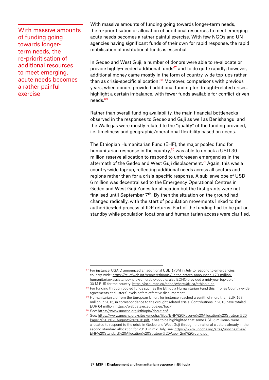With massive amounts of funding going towards longerterm needs, the re-prioritisation of additional resources to meet emerging, acute needs becomes a rather painful exercise

With massive amounts of funding going towards longer-term needs, the re-prioritisation or allocation of additional resources to meet emerging acute needs becomes a rather painful exercise. With few NGOs and UN agencies having significant funds of their own for rapid response, the rapid mobilisation of institutional funds is essential.

In Gedeo and West Guji, a number of donors were able to re-allocate or provide highly-needed additional funds $67$  and to do quite rapidly; however, additional money came mostly in the form of country-wide top-ups rather than as crisis-specific allocation.<sup>68</sup> Moreover, comparisons with previous years, when donors provided additional funding for drought-related crises, highlight a certain imbalance, with fewer funds available for conflict-driven needs.<sup>69</sup>

Rather than overall funding availability, the main financial bottlenecks observed in the responses to Gedeo and Guji as well as Benishangul and the Wallegas were mostly related to the "quality" of the funding provided, i.e. timeliness and geographic/operational flexibility based on needs.

The Ethiopian Humanitarian Fund (EHF), the major pooled fund for humanitarian response in the country,<sup>70</sup> was able to unlock a USD 30 million reserve allocation to respond to unforeseen emergencies in the aftermath of the Gedeo and West Guji displacement.<sup>71</sup> Again, this was a country-wide top-up, reflecting additional needs across all sectors and regions rather than for a crisis-specific response. A sub-envelope of USD 6 million was decentralised to the Emergency Operational Centres in Gedeo and West Guji Zones for allocation but the first grants were not finalised until September  $7<sup>th</sup>$ . By then the situation on the ground had changed radically, with the start of population movements linked to the authorities-led process of IDP returns. Part of the funding had to be put on standby while population locations and humanitarian access were clarified.

<sup>&</sup>lt;sup>67</sup> For instance, USAID announced an additional USD 170M in July to respond to emergencies country-wide: [https://reliefweb.int/report/ethiopia/united-states-announces-170-million](https://reliefweb.int/report/ethiopia/united-states-announces-170-million-humanitarian-assistance-help-vulnerable-people)[humanitarian-assistance-help-vulnerable-people](https://reliefweb.int/report/ethiopia/united-states-announces-170-million-humanitarian-assistance-help-vulnerable-people); also ECHO provided a mid-year top-up of 30 M EUR for the country: [https://ec.europa.eu/echo/where/africa/ethiopia\\_en](https://ec.europa.eu/echo/where/africa/ethiopia_en)

<sup>&</sup>lt;sup>68</sup> For funding through pooled funds such as the Ethiopia Humanitarian Fund this implies Country-wide agreements at clusters' levels before effective disbursement.

<sup>69</sup> Humanitarian aid from the European Union, for instance, reached a zenith of more than EUR 168 million in 2015, in correspondence to the drought-related crisis. Contributions in 2018 have totaled EUR 64 million: <https://webgate.ec.europa.eu/hac/>

<sup>70</sup> See: <https://www.unocha.org/ethiopia/about-ehf>

<sup>71</sup> See: [https://www.unocha.org/sites/unocha/files/EHF%20Reserve%20Allocation%20Strategy%20](https://www.unocha.org/sites/unocha/files/EHF%20Reserve%20Allocation%20Strategy%20Paper_%207%20August%202018.pdf) [Paper\\_%207%20August%202018.pdf](https://www.unocha.org/sites/unocha/files/EHF%20Reserve%20Allocation%20Strategy%20Paper_%207%20August%202018.pdf). It has to be highlighted that some USD 5 millionvv were allocated to respond to the crisis in Gedeo and West Guji through the national clusters already in the second standard allocation for 2018, in mid-July; see: [https://www.unocha.org/sites/unocha/files/](https://www.unocha.org/sites/unocha/files/EHF%20Standard%20Allocation%20Strategy%20Paper_2nd%20round.pdf) [EHF%20Standard%20Allocation%20Strategy%20Paper\\_2nd%20round.pdf](https://www.unocha.org/sites/unocha/files/EHF%20Standard%20Allocation%20Strategy%20Paper_2nd%20round.pdf)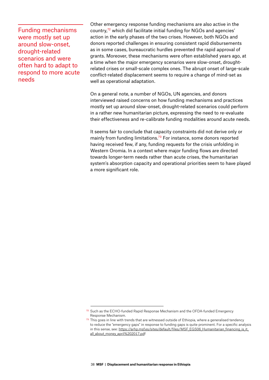Funding mechanisms were mostly set up around slow-onset, drought-related scenarios and were often hard to adapt to respond to more acute needs

Other emergency response funding mechanisms are also active in the country,<sup>72</sup> which did facilitate initial funding for NGOs and agencies' action in the early phases of the two crises. However, both NGOs and donors reported challenges in ensuring consistent rapid disbursements as in some cases, bureaucratic hurdles prevented the rapid approval of grants. Moreover, these mechanisms were often established years ago, at a time when the major emergency scenarios were slow-onset, droughtrelated crises or small-scale complex ones. The abrupt onset of large-scale conflict-related displacement seems to require a change of mind-set as well as operational adaptation.

On a general note, a number of NGOs, UN agencies, and donors interviewed raised concerns on how funding mechanisms and practices mostly set up around slow-onset, drought-related scenarios could perform in a rather new humanitarian picture, expressing the need to re-evaluate their effectiveness and re-calibrate funding modalities around acute needs.

It seems fair to conclude that capacity constraints did not derive only or mainly from funding limitations.<sup>73</sup> For instance, some donors reported having received few, if any, funding requests for the crisis unfolding in Western Oromia. In a context where major funding flows are directed towards longer-term needs rather than acute crises, the humanitarian system's absorption capacity and operational priorities seem to have played a more significant role.

 $72$  Such as the ECHO-funded Rapid Response Mechanism and the OFDA-funded Emergency Response Mechanism.

 $73$  This goes in line with trends that are witnessed outside of Ethiopia, where a generalised tendency to reduce the "emergency gaps" in response to funding gaps is quite prominent. For a specific analysis in this sense, see: [https://arhp.msf.es/sites/default/files/MSF\\_EGS06\\_Humanitarian\\_financing\\_is\\_it\\_](https://arhp.msf.es/sites/default/files/MSF_EGS06_Humanitarian_financing_is_it_all_about_money_april%202017.pd) [all\\_about\\_money\\_april%202017.pdf](https://arhp.msf.es/sites/default/files/MSF_EGS06_Humanitarian_financing_is_it_all_about_money_april%202017.pd)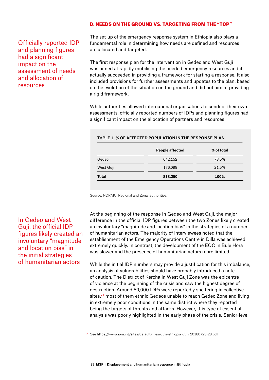### D. NEEDS ON THE GROUND VS. TARGETING FROM THE "TOP"

Officially reported IDP and planning figures had a significant impact on the assessment of needs and allocation of resources

The set-up of the emergency response system in Ethiopia also plays a fundamental role in determining how needs are defined and resources are allocated and targeted.

The first response plan for the intervention in Gedeo and West Guji was aimed at rapidly mobilising the needed emergency resources and it actually succeeded in providing a framework for starting a response. It also included provisions for further assessments and updates to the plan, based on the evolution of the situation on the ground and did not aim at providing a rigid framework.

While authorities allowed international organisations to conduct their own assessments, officially reported numbers of IDPs and planning figures had a significant impact on the allocation of partners and resources.

|              | <b>People affected</b> | % of total |
|--------------|------------------------|------------|
| Gedeo        | 642,152                | 78,5%      |
| West Guji    | 176,098                | 21,5%      |
| <b>Total</b> | 818,250                | 100%       |
|              |                        |            |

#### TABLE 1. **% OF AFFECTED POPULATION IN THE RESPONSE PLAN**

Source: NDRMC, Regional and Zonal authorities.

In Gedeo and West Guji, the official IDP figures likely created an involuntary "magnitude and location bias" in the initial strategies of humanitarian actors

At the beginning of the response in Gedeo and West Guji, the major difference in the official IDP figures between the two Zones likely created an involuntary "magnitude and location bias" in the strategies of a number of humanitarian actors. The majority of interviewees noted that the establishment of the Emergency Operations Centre in Dilla was achieved extremely quickly. In contrast, the development of the EOC in Bule Hora was slower and the presence of humanitarian actors more limited.

While the initial IDP numbers may provide a justification for this imbalance, an analysis of vulnerabilities should have probably introduced a note of caution. The District of Kercha in West Guji Zone was the epicentre of violence at the beginning of the crisis and saw the highest degree of destruction. Around 50,000 IDPs were reportedly sheltering in collective sites, $74$  most of them ethnic Gedeos unable to reach Gedeo Zone and living in extremely poor conditions in the same district where they reported being the targets of threats and attacks. However, this type of essential analysis was poorly highlighted in the early phase of the crisis. Senior-level

<sup>74</sup> See [https://www.iom.int/sites/default/files/dtm/ethiopia\\_dtm\\_20180723-28.pdf](https://www.iom.int/sites/default/files/dtm/ethiopia_dtm_20180723-28.pdf)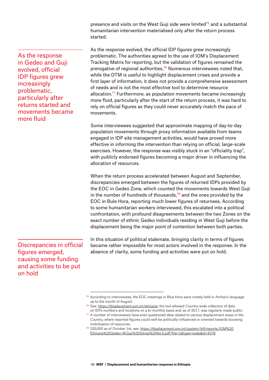presence and visits on the West Guji side were limited $75$  and a substantial humanitarian intervention materialised only after the return process started.

As the response evolved, the official IDP figures grew increasingly problematic. The authorities agreed to the use of IOM's Displacement Tracking Matrix for reporting, but the validation of figures remained the prerogative of regional authorities.<sup>76</sup> Numerous interviewees noted that, while the DTM is useful to highlight displacement crises and provide a first layer of information, it does not provide a comprehensive assessment of needs and is not the most effective tool to determine resource allocation.<sup>77</sup> Furthermore, as population movements became increasingly more fluid, particularly after the start of the return process, it was hard to rely on official figures as they could never accurately match the pace of movements.

Some interviewees suggested that approximate mapping of day-to-day population movements through proxy information available from teams engaged in IDP site management activities, would have proved more effective in informing the intervention than relying on official, large-scale exercises. However, the response was visibly stuck in an "officiality trap", with publicly endorsed figures becoming a major driver in influencing the allocation of resources.

When the return process accelerated between August and September, discrepancies emerged between the figures of returned IDPs provided by the EOC in Gedeo Zone, which counted the movements towards West Guji in the number of hundreds of thousands, $78$  and the ones provided by the EOC in Bule Hora, reporting much lower figures of returnees. According to some humanitarian workers interviewed, this escalated into a political confrontation, with profound disagreements between the two Zones on the exact number of ethnic Gedeo individuals residing in West Guji before the displacement being the major point of contention between both parties.

In this situation of political stalemate, bringing clarity in terms of figures became rather impossible for most actors involved in the response. In the absence of clarity, some funding and activities were put on hold.

As the response in Gedeo and Guji evolved, official IDP figures grew increasingly problematic, particularly after returns started and movements became more fluid

Discrepancies in official figures emerged, causing some funding and activities to be put on hold

<sup>75</sup> According to interviewees, the EOC meetings in Blue Hora were mostly held in Amharic language up to the month of August.

<sup>&</sup>lt;sup>76</sup> See: [https://displacement.iom.int/ethiopia;](https://displacement.iom.int/ethiopia) the tool allowed Country-wide collection of data on IDPs numbers and locations on a bi-monthly basis and, as of 2017, was regularly made public.

 $77$  A number of interviewees have even questioned data related to various displacement areas in the Country, where reported figures could well be politically-influenced or oriented towards boosting mobilisation of resources.

<sup>78 330,000</sup> as of October 1st; see: [https://displacement.iom.int/system/tdf/reports/IOM%20](https://displacement.iom.int/system/tdf/reports/IOM%20Ethiopia%20Gedeo-W.Guji%20Sitrep%20No.5.pdf?file=1&type=node&id=4376) [Ethiopia%20Gedeo-W.Guji%20Sitrep%20No.5.pdf?file=1&type=node&id=4376](https://displacement.iom.int/system/tdf/reports/IOM%20Ethiopia%20Gedeo-W.Guji%20Sitrep%20No.5.pdf?file=1&type=node&id=4376)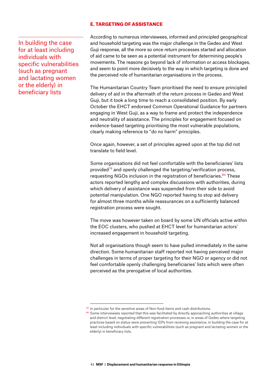### E. TARGETING OF ASSISTANCE

In building the case for at least including individuals with specific vulnerabilities (such as pregnant and lactating women or the elderly) in beneficiary lists

According to numerous interviewees, informed and principled geographical and household targeting was the major challenge in the Gedeo and West Guji response, all the more so once return processes started and allocation of aid came to be seen as a potential instrument for determining people's movements. The reasons go beyond lack of information or access blockages, and seem to point more decisively to the way in which targeting is done and the perceived role of humanitarian organisations in the process.

The Humanitarian Country Team prioritised the need to ensure principled delivery of aid in the aftermath of the return process in Gedeo and West Guji, but it took a long time to reach a consolidated position. By early October the EHCT endorsed Common Operational Guidance for partners engaging in West Guji, as a way to frame and protect the independence and neutrality of assistance. The principles for engagement focused on evidence-based targeting prioritising the most vulnerable populations, clearly making reference to "do no harm" principles.

Once again, however, a set of principles agreed upon at the top did not translate to field level.

Some organisations did not feel comfortable with the beneficiaries' lists provided<sup>79</sup> and openly challenged the targeting/verification process, requesting NGOs inclusion in the registration of beneficiaries.<sup>80</sup> These actors reported lengthy and complex discussions with authorities, during which delivery of assistance was suspended from their side to avoid potential manipulation. One NGO reported having to stop aid delivery for almost three months while reassurances on a sufficiently balanced registration process were sought.

The move was however taken on board by some UN officials active within the EOC clusters, who pushed at EHCT level for humanitarian actors' increased engagement in household targeting.

Not all organisations though seem to have pulled immediately in the same direction. Some humanitarian staff reported not having perceived major challenges in terms of proper targeting for their NGO or agency or did not feel comfortable openly challenging beneficiaries' lists which were often perceived as the prerogative of local authorities.

 $79$  In particular for the sensitive areas of Non-food items and cash distributions.

<sup>80</sup> Some interviewees reported that this was facilitated by directly approaching authorities at village and district level, negotiating different registration processes or, in areas of Gedeo where targeting practices based on status were preventing IDPs from receiving assistance, in building the case for at least including individuals with specific vulnerabilities (such as pregnant and lactating women or the elderly) in beneficiary lists.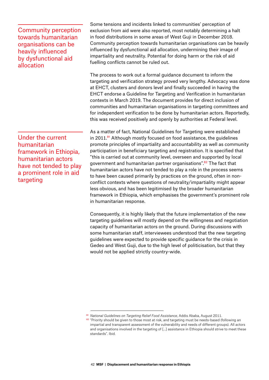### Community perception towards humanitarian organisations can be heavily influenced by dysfunctional aid allocation

Under the current humanitarian framework in Ethiopia, humanitarian actors have not tended to play a prominent role in aid targeting

Some tensions and incidents linked to communities' perception of exclusion from aid were also reported, most notably determining a halt in food distributions in some areas of West Guji in December 2018. Community perception towards humanitarian organisations can be heavily influenced by dysfunctional aid allocation, undermining their image of impartiality and neutrality. Potential for doing harm or the risk of aid fuelling conflicts cannot be ruled out.

The process to work out a formal guidance document to inform the targeting and verification strategy proved very lengthy. Advocacy was done at EHCT, clusters and donors level and finally succeeded in having the EHCT endorse a Guideline for Targeting and Verification in humanitarian contexts in March 2019. The document provides for direct inclusion of communities and humanitarian organisations in targeting committees and for independent verification to be done by humanitarian actors. Reportedly, this was received positively and openly by authorities at Federal level.

As a matter of fact, National Guidelines for Targeting were established in 2011. $81$  Although mostly focused on food assistance, the guidelines promote principles of impartiality and accountability as well as community participation in beneficiary targeting and registration. It is specified that "this is carried out at community level, overseen and supported by local government and humanitarian partner organisations".82 The fact that humanitarian actors have not tended to play a role in the process seems to have been caused primarily by practices on the ground, often in nonconflict contexts where questions of neutrality/impartiality might appear less obvious, and has been legitimised by the broader humanitarian framework in Ethiopia, which emphasises the government's prominent role in humanitarian response.

Consequently, it is highly likely that the future implementation of the new targeting guidelines will mostly depend on the willingness and negotiation capacity of humanitarian actors on the ground. During discussions with some humanitarian staff, interviewees understood that the new targeting guidelines were expected to provide specific guidance for the crisis in Gedeo and West Guji, due to the high level of politicisation, but that they would not be applied strictly country-wide.

<sup>81</sup> *National Guidelines on Targeting Relief Food Assistance*, Addis Ababa, August 2011.

<sup>82 &</sup>quot;Priority should be given to those most at risk, and targeting must be needs-based (following an impartial and transparent assessment of the vulnerability and needs of different groups). All actors and organisations involved in the targeting of […] assistance in Ethiopia should strive to meet these standards". Ibid.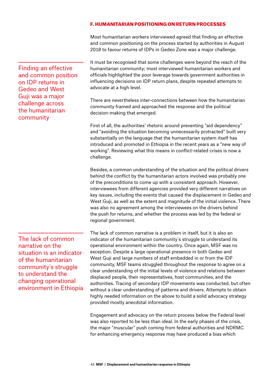### F. HUMANITARIAN POSITIONING ON RETURN PROCESSES

Most humanitarian workers interviewed agreed that finding an effective and common positioning on the process started by authorities in August 2018 to favour returns of IDPs in Gedeo Zone was a major challenge.

It must be recognised that some challenges were beyond the reach of the humanitarian community; most interviewed humanitarian workers and officials highlighted the poor leverage towards government authorities in influencing decisions on IDP return plans, despite repeated attempts to advocate at a high level.

There are nevertheless inter-connections between how the humanitarian community framed and approached the response and the political decision-making that emerged.

First of all, the authorities' rhetoric around preventing "aid dependency" and "avoiding the situation becoming unnecessarily protracted" built very substantially on the language that the humanitarian system itself has introduced and promoted in Ethiopia in the recent years as a "new way of working". Reviewing what this means in conflict-related crises is now a challenge.

Besides, a common understanding of the situation and the political drivers behind the conflict by the humanitarian actors involved was probably one of the preconditions to come up with a consistent approach. However, interviewees from different agencies provided very different narratives on key issues, including the events that caused the displacement in Gedeo and West Guji, as well as the extent and magnitude of the initial violence. There was also no agreement among the interviewees on the drivers behind the push for returns, and whether the process was led by the federal or regional government.

The lack of common narrative is a problem in itself, but it is also an indicator of the humanitarian community's struggle to understand its operational environment within the country. Once again, MSF was no exception. Despite a large operational presence in both Gedeo and West Guji and large numbers of staff embedded in or from the IDP community, MSF teams struggled throughout the response to agree on a clear understanding of the initial levels of violence and relations between displaced people, their representatives, host communities, and the authorities. Tracing of secondary IDP movements was conducted, but often without a clear understanding of patterns and drivers. Attempts to obtain highly needed information on the above to build a solid advocacy strategy provided mostly anecdotal information.

Engagement and advocacy on the return process below the Federal level was also reported to be less than ideal. In the early phases of the crisis, the major "muscular" push coming from federal authorities and NDRMC for enhancing emergency response may have produced a bias which

Finding an effective and common position on IDP returns in Gedeo and West Guji was a major challenge across the humanitarian community

The lack of common narrative on the situation is an indicator of the humanitarian community´s struggle to understand the changing operational environment in Ethiopia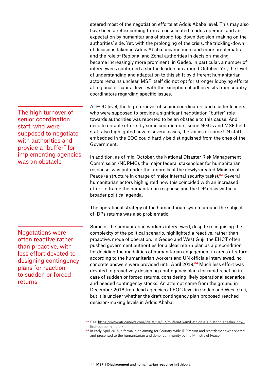steered most of the negotiation efforts at Addis Ababa level. This may also have been a reflex coming from a consolidated modus operandi and an expectation by humanitarians of strong top-down decision-making on the authorities' side. Yet, with the prolonging of the crisis, the trickling-down of decisions taken in Addis Ababa became more and more problematic and the role of Regional and Zonal authorities in decision-making became increasingly more prominent; in Gedeo, in particular, a number of interviewees confirmed a shift in leadership around October. Yet, the level of understanding and adaptation to this shift by different humanitarian actors remains unclear. MSF itself did not opt for stronger lobbying efforts at regional or capital level, with the exception of adhoc visits from country coordinators regarding specific issues.

At EOC level, the high turnover of senior coordinators and cluster leaders who were supposed to provide a significant negotiation "buffer" role towards authorities was reported to be an obstacle to this cause. And despite notable efforts by some coordinators, some NGOs and MSF field staff also highlighted how in several cases, the voices of some UN staff embedded in the EOC could hardly be distinguished from the ones of the Government.

In addition, as of mid-October, the National Disaster Risk Management Commission (NDRMC), the major federal stakeholder for humanitarian response, was put under the umbrella of the newly-created Ministry of Peace (a structure in charge of major internal security tasks).<sup>83</sup> Several humanitarian actors highlighted how this coincided with an increased effort to frame the humanitarian response and the IDP crisis within a broader political agenda.

The operational strategy of the humanitarian system around the subject of IDPs returns was also problematic.

Some of the humanitarian workers interviewed, despite recognising the complexity of the political scenario, highlighted a reactive, rather than proactive, mode of operation. In Gedeo and West Guji, the EHCT often pushed government authorities for a clear return plan as a precondition for deciding the modalities of humanitarian engagement in areas of return; according to the humanitarian workers and UN officials interviewed, no concrete answers were provided until April 2019.<sup>84</sup> Much less effort was devoted to proactively designing contingency plans for rapid reaction in case of sudden or forced returns, considering likely operational scenarios and needed contingency stocks. An attempt came from the ground in December 2018 from lead agencies at EOC level in Gedeo and West Guji, but it is unclear whether the draft contingency plan proposed reached decision-making levels in Addis Ababa.

The high turnover of senior coordination staff, who were supposed to negotiate with authorities and provide a "buffer" for implementing agencies, was an obstacle

Negotations were often reactive rather than proactive, with less effort devoted to designing contingency plans for reaction to sudden or forced returns

<sup>83</sup> See: [https://www.africanews.com/2018/10/17/muferiat-kamil-ethiopia-s-historic-speaker-now](https://www.africanews.com/2018/10/17/muferiat-kamil-ethiopia-s-historic-speaker-now-first-peace-minister/)[first-peace-minister/](https://www.africanews.com/2018/10/17/muferiat-kamil-ethiopia-s-historic-speaker-now-first-peace-minister/)

<sup>84</sup> In early April 2019, a formal plan aiming for Country-wide IDP return and resettlement was shared and presented to the humanitarian and donor community by the Ministry of Peace.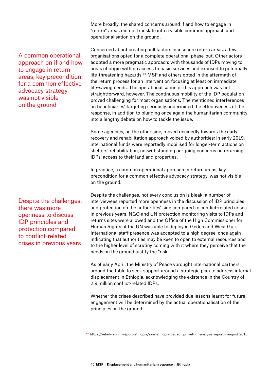More broadly, the shared concerns around if and how to engage in "return" areas did not translate into a visible common approach and operationalisation on the ground.

A common operational approach on if and how to engage in return areas, key precondition for a common effective advocacy strategy, was not visible on the ground

Despite the challenges, there was more openness to discuss IDP principles and protection compared to conflict-related crises in previous years

Concerned about creating pull factors in insecure return areas, a few organisations opted for a complete operational phase-out. Other actors adopted a more pragmatic approach: with thousands of IDPs moving to areas of origin with no access to basic services and exposed to potentially life-threatening hazards, $85$  MSF and others opted in the aftermath of the return process for an intervention focusing at least on immediate life-saving needs. The operationalisation of this approach was not straightforward, however. The continuous mobility of the IDP population proved challenging for most organisations. The mentioned interferences on beneficiaries' targeting seriously undermined the effectiveness of the response, in addition to plunging once again the humanitarian community into a lengthy debate on how to tackle the issue.

Some agencies, on the other side, moved decidedly towards the early recovery and rehabilitation approach voiced by authorities; in early 2019, international funds were reportedly mobilised for longer-term actions on shelters' rehabilitation, notwithstanding on-going concerns on returning IDPs' access to their land and properties.

In practice, a common operational approach in return areas, key precondition for a common effective advocacy strategy, was not visible on the ground.

Despite the challenges, not every conclusion is bleak: a number of interviewees reported more openness in the discussion of IDP principles and protection on the authorities' side compared to conflict-related crises in previous years. NGO and UN protection monitoring visits to IDPs and returns sites were allowed and the Office of the High Commissioner for Human Rights of the UN was able to deploy in Gedeo and West Guji. International staff presence was accepted to a high degree, once again indicating that authorities may be keen to open to external resources and to the higher level of scrutiny coming with it where they perceive that the needs on the ground justify the "risk".

As of early April, the Ministry of Peace vbrought international partners around the table to seek support around a strategic plan to address internal displacement in Ethiopia, acknowledging the existence in the Country of 2.9 million conflict-related IDPs.

Whether the crises described have provided due lessons learnt for future engagement will be determined by the actual operationalisation of the principles on the ground.

<sup>85</sup> <https://reliefweb.int/report/ethiopia/iom-ethiopia-gedeo-guji-return-analysis-report-i-august-2018>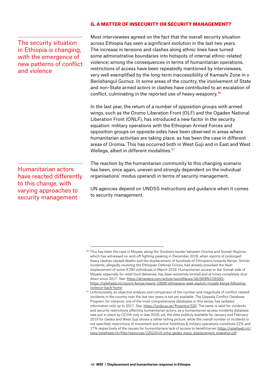### G. A MATTER OF INSECURITY OR SECURITY MANAGEMENT?

The security situation in Ethiopia is changing, with the emergence of new patterns of conflict and violence

Most interviewees agreed on the fact that the overall security situation across Ethiopia has seen a significant evolution in the last two years. The increase in tensions and clashes along ethnic lines have turned some administrative boundaries into hotspots of internal ethnic-related violence; among the consequences in terms of humanitarian operations, restrictions of access have been repeatedly mentioned by interviewees, very well exemplified by the long-term inaccessibility of Kamashi Zone in v Benishangul Gumuz. In some areas of the country, the involvement of State and non-State armed actors in clashes have contributed to an escalation of conflict, culminating in the reported use of heavy weaponry.<sup>86</sup>

In the last year, the return of a number of opposition groups with armed wings, such as the Oromo Liberation Front (OLF) and the Ogaden National Liberation Front (ONLF), has introduced a new factor in the security equation: military operations with the Ethiopian Armed Forces and opposition groups on opposite sides have been observed in areas where humanitarian activities are taking place, as has been the case in different areas of Oromia. This has occurred both in West Guji and in East and West Wellega, albeit in different modalities.<sup>87</sup>

Humanitarian actors have reacted differently to this change, with varying approaches to security management

The reaction by the humanitarian community to this changing scenario has been, once again, uneven and strongly dependent on the individual organisations' modus operandi in terms of security management.

UN agencies depend on UNDSS instructions and guidance when it comes to security management.

<sup>86</sup> This has been the case in Moyale, along the Southern border between Oromia and Somali Regions, which has witnessed on-and-off fighting peaking in December 2018, when reports of prolonged heavy clashes caused deaths and the displacement of hundreds of Ethiopians towards Kenya. Similar incidents, allegedly involving the Ethiopian Defense Forces, had already provoked the flash displacement of some 9,700 individuals in March 2018. Humanitarian access to the Somali side of Moyale, especially for relief food deliveries, has been extremely limited and at times completely shut down since 2017. See: [https://af.reuters.com/article/worldNews/idUSKBN1OE09O;](https://reliefweb.int/report/kenya/nearly-10000-ethiopians-seek-asylum-moyale-kenya-following-violence-back-home)  [https://reliefweb.int/report/kenya/nearly-10000-ethiopians-seek-asylum-moyale-kenya-following](https://reliefweb.int/report/kenya/nearly-10000-ethiopians-seek-asylum-moyale-kenya-following-violence-back-home)[violence-back-home](https://reliefweb.int/report/kenya/nearly-10000-ethiopians-seek-asylum-moyale-kenya-following-violence-back-home)

<sup>87</sup> Unfortunately, an objective analysis and comparison of the number and magnitude of conflict-related incidents in the country over the last two years is not yet available. The Uppsala Conflict Database Program, for instance, one of the most comprehensive databases in this sense, has updated information only up to 2017. See: <https://ucdp.uu.se/#country/530>. The same is valid for incidents and security restrictions affecting humanitarian actors, as a humanitarian access incidents database was put in place by OCHA only in late 2018; yet, the data publicly available for January and February 2019 for Gedeo and West Guji shows a rather telling picture: while the overall number of incidents is not specified, restrictions of movement and active hostilities & military operations constitute 22 % and 17 % respectively of the causes for humanitarians lack of access to beneficiaries: [https://reliefweb.int/](https://reliefweb.int/sites/reliefweb.int/files/resources/22022019_ocha_gedeo_wguji_displacement_snapshot.pdf) [sites/reliefweb.int/files/resources/22022019\\_ocha\\_gedeo\\_wguji\\_displacement\\_snapshot.pdf](https://reliefweb.int/sites/reliefweb.int/files/resources/22022019_ocha_gedeo_wguji_displacement_snapshot.pdf)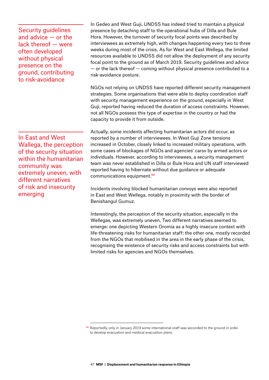Security guidelines and advice — or the lack thereof — were often developed without physical presence on the ground, contributing to risk-avoidance

In East and West Wallega, the perception of the security situation within the humanitarian community was extremely uneven, with different narratives of risk and insecurity emerging

In Gedeo and West Guji, UNDSS has indeed tried to maintain a physical presence by detaching staff to the operational hubs of Dilla and Bule Hora. However, the turnover of security focal points was described by interviewees as extremely high, with changes happening every two to three weeks during most of the crisis. As for West and East Wellega, the limited resources available to UNDSS did not allow the deployment of any security focal point to the ground as of March 2019. Security guidelines and advice  $-$  or the lack thereof  $-$  coming without physical presence contributed to a risk-avoidance posture.

NGOs not relying on UNDSS have reported different security management strategies. Some organisations that were able to deploy coordination staff with security management experience on the ground, especially in West Guji, reported having reduced the duration of access constraints. However, not all NGOs possess this type of expertise in the country or had the capacity to provide it from outside.

Actually, some incidents affecting humanitarian actors did occur, as reported by a number of interviewees. In West Guji Zone tensions increased in October, closely linked to increased military operations, with some cases of blockages of NGOs and agencies' carsv by armed actors or individuals. However, according to interviewees, a security management team was never established in Dilla or Bule Hora and UN staff interviewed reported having to hibernate without due guidance or adequate communications equipment.<sup>88</sup>

Incidents involving blocked humanitarian convoys were also reported in East and West Wellega, notably in proximity with the border of Benishangul Gumuz.

Interestingly, the perception of the security situation, especially in the Wellegas, was extremely uneven. Two different narratives seemed to emerge: one depicting Western Oromia as a highly insecure context with life-threatening risks for humanitarian staff; the other one, mostly recorded from the NGOs that mobilised in the area in the early phase of the crisis, recognising the existence of security risks and access constraints but with limited risks for agencies and NGOs themselves.

<sup>88</sup> Reportedly, only in January 2019 some international staff was seconded to the ground in order to develop evacuation and medical evacuation plans.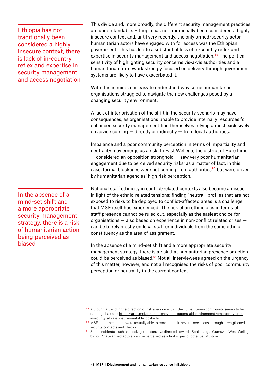Ethiopia has not traditionally been considered a highly insecure context, there is lack of in-country reflex and expertise in security management and access negotiation

In the absence of a mind-set shift and a more appropriate security management strategy, there is a risk of humanitarian action being perceived as biased

This divide and, more broadly, the different security management practices are understandable: Ethiopia has not traditionally been considered a highly insecure context and, until very recently, the only armed/security actor humanitarian actors have engaged with for access was the Ethiopian government. This has led to a substantial loss of in-country reflex and expertise in security management and access negotiation.<sup>89</sup> The political sensitivity of highlighting security concerns vis-à-vis authorities and a humanitarian framework strongly focused on delivery through government systems are likely to have exacerbated it.

With this in mind, it is easy to understand why some humanitarian organisations struggled to navigate the new challenges posed by a changing security environment.

A lack of interiorisation of the shift in the security scenario may have consequences, as organisations unable to provide internally resources for enhanced security management find themselves relying almost exclusively on advice coming  $-$  directly or indirectly  $-$  from local authorities.

Imbalance and a poor community perception in terms of impartiality and neutrality may emerge as a risk. In East Wellega, the district of Haro Limu — considered an opposition stronghold — saw very poor humanitarian engagement due to perceived security risks; as a matter of fact, in this case, formal blockages were not coming from authorities<sup>90</sup> but were driven by humanitarian agencies' high risk perception.

National staff ethnicity in conflict-related contexts also became an issue in light of the ethnic-related tensions; finding "neutral" profiles that are not exposed to risks to be deployed to conflict-affected areas is a challenge that MSF itself has experienced. The risk of an ethnic bias in terms of staff presence cannot be ruled out, especially as the easiest choice for organisations — also based on experience in non-conflict related crises can be to rely mostly on local staff or individuals from the same ethnic constituency as the area of assignment.

In the absence of a mind-set shift and a more appropriate security management strategy, there is a risk that humanitarian presence or action could be perceived as biased.<sup>91</sup> Not all interviewees agreed on the urgency of this matter, however, and not all recognised the risks of poor community perception or neutrality in the current context.

<sup>86</sup> Although a trend in the direction of risk aversion within the humanitarian community seems to be rather global; see: [https://arhp.msf.es/emergency-gap-papers-aid-environment/emergency-gap](https://arhp.msf.es/emergency-gap-papers-aid-environment/emergency-gap-insecurity-always-insurmountable-obstacle)[insecurity-always-insurmountable-obstacle](https://arhp.msf.es/emergency-gap-papers-aid-environment/emergency-gap-insecurity-always-insurmountable-obstacle)

<sup>90</sup> MSF and other actors were actually able to move there in several occasions, through strengthened security contacts and checks.

<sup>91</sup> Some incidents, such as blockages of convoys directed towards Benishangul Gumuz in West Wellega by non-State armed actors, can be perceived as a first signal of potential attrition.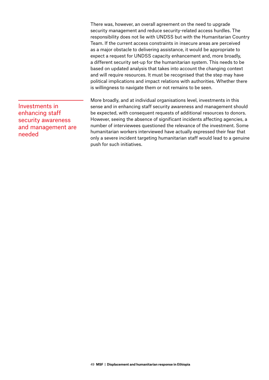There was, however, an overall agreement on the need to upgrade security management and reduce security-related access hurdles. The responsibility does not lie with UNDSS but with the Humanitarian Country Team. If the current access constraints in insecure areas are perceived as a major obstacle to delivering assistance, it would be appropriate to expect a request for UNDSS capacity enhancement and, more broadly, a different security set-up for the humanitarian system. This needs to be based on updated analysis that takes into account the changing context and will require resources. It must be recognised that the step may have political implications and impact relations with authorities. Whether there is willingness to navigate them or not remains to be seen.

More broadly, and at individual organisations level, investments in this sense and in enhancing staff security awareness and management should be expected, with consequent requests of additional resources to donors. However, seeing the absence of significant incidents affecting agencies, a number of interviewees questioned the relevance of the investment. Some humanitarian workers interviewed have actually expressed their fear that only a severe incident targeting humanitarian staff would lead to a genuine push for such initiatives.

Investments in enhancing staff security awareness and management are needed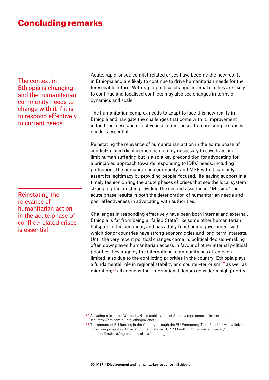# Concluding remarks

The context in Ethiopia is changing and the humanitarian community needs to change with it if it is to respond effectively to current needs

Reinstating the relevance of humanitarian action in the acute phase of conflict-related crises is essential

Acute, rapid-onset, conflict-related crises have become the new reality in Ethiopia and are likely to continue to drive humanitarian needs for the foreseeable future. With rapid political change, internal clashes are likely to continue and localised conflicts may also see changes in terms of dynamics and scale.

The humanitarian complex needs to adapt to face this new reality in Ethiopia and navigate the challenges that come with it. Improvement in the timeliness and effectiveness of responses to more complex crises needs is essential.

Reinstating the relevance of humanitarian action in the acute phase of conflict-related displacement is not only necessary to save lives and limit human suffering but is also a key precondition for advocating for a principled approach towards responding to IDPs' needs, including protection. The humanitarian community, and MSF with it, can only assert its legitimacy by providing people-focused, life-saving support in a timely fashion during the acute phases of crises that see the local system struggling the most in providing the needed assistance. "Missing" the acute phase results in both the deterioration of humanitarian needs and poor effectiveness in advocating with authorities.

Challenges in responding effectively have been both internal and external. Ethiopia is far from being a "failed State" like some other humanitarian hotspots in the continent, and has a fully functioning government with which donor countries have strong economic ties and long-term interests. Until the very recent political changes came in, political decision-making often downplayed humanitarian access in favour of other internal political priorities. Leverage by the international community has often been limited, also due to the conflicting priorities in the country: Ethiopia plays a fundamental role in regional stability and counter-terrorism.<sup>92</sup> as well as migration;<sup>93</sup> all agendas that international donors consider a high priority.

<sup>92</sup> A leading role in the AU- and UN-led stabilization of Somalia represents a clear example; see: <http://amisom-au.org/ethiopia-endf/>

<sup>93</sup> The amount of EU funding in the Country through the EU Emergency Trust Fund for Africa linked to reducing migration flows amounts to above EUR 230 million: [https://ec.europa.eu/](https://ec.europa.eu/trustfundforafrica/region/horn-africa/ethiopia_en) [trustfundforafrica/region/horn-africa/ethiopia\\_en](https://ec.europa.eu/trustfundforafrica/region/horn-africa/ethiopia_en)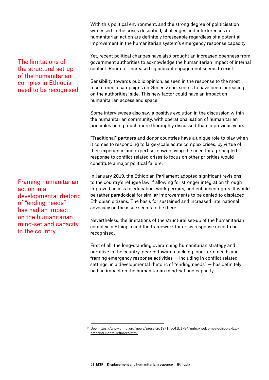With this political environment, and the strong degree of politicisation witnessed in the crises described, challenges and interferences in humanitarian action are definitely foreseeable regardless of a potential improvement in the humanitarian system's emergency response capacity.

Yet, recent political changes have also brought an increased openness from government authorities to acknowledge the humanitarian impact of internal conflict. Room for increased significant engagement seems to exist.

Sensibility towards public opinion, as seen in the response to the most recent media campaigns on Gedeo Zone, seems to have been increasing on the authorities' side. This new factor could have an impact on humanitarian access and space.

Some interviewees also saw a positive evolution in the discussion within the humanitarian community, with operationalisation of humanitarian principles being much more thoroughly discussed than in previous years.

"Traditional" partners and donor countries have a unique role to play when it comes to responding to large-scale acute complex crises, by virtue of their experience and expertise; downplaying the need for a principled response to conflict-related crises to focus on other priorities would constitute a major political failure.

In January 2019, the Ethiopian Parliament adopted significant revisions to the country's refugee law, $94$  allowing for stronger integration through improved access to education, work permits, and enhanced rights. It would be rather paradoxical for similar improvements to be denied to displaced Ethiopian citizens. The basis for sustained and increased international advocacy on the issue seems to be there.

Nevertheless, the limitations of the structural set-up of the humanitarian complex in Ethiopia and the framework for crisis response need to be recognised.

First of all, the long-standing overarching humanitarian strategy and narrative in the country, geared towards tackling long-term needs and framing emergency response activities — including in conflict-related settings, in a developmental rhetoric of "ending needs" — has definitely had an impact on the humanitarian mind-set and capacity.

The limitations of the structural set-up of the humanitarian complex in Ethiopia need to be recognised

Framing humanitarian action in a developmental rhetoric of "ending needs" has had an impact on the humanitarian mind-set and capacity in the country

<sup>94</sup> See: [https://www.unhcr.org/news/press/2019/1/5c41b1784/unhcr-welcomes-ethiopia-law](https://www.unhcr.org/news/press/2019/1/5c41b1784/unhcr-welcomes-ethiopia-law-granting-rights-refugees.html)[granting-rights-refugees.html](https://www.unhcr.org/news/press/2019/1/5c41b1784/unhcr-welcomes-ethiopia-law-granting-rights-refugees.html)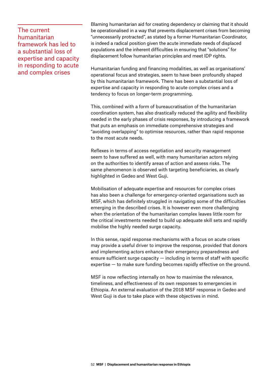The current humanitarian framework has led to a substantial loss of expertise and capacity in responding to acute and complex crises

Blaming humanitarian aid for creating dependency or claiming that it should be operationalised in a way that prevents displacement crises from becoming "unnecessarily protracted", as stated by a former Humanitarian Coordinator, is indeed a radical position given the acute immediate needs of displaced populations and the inherent difficulties in ensuring that "solutions" for displacement follow humanitarian principles and meet IDP rights.

Humanitarian funding and financing modalities, as well as organisations' operational focus and strategies, seem to have been profoundly shaped by this humanitarian framework. There has been a substantial loss of expertise and capacity in responding to acute complex crises and a tendency to focus on longer-term programming.

This, combined with a form of bureaucratisation of the humanitarian coordination system, has also drastically reduced the agility and flexibility needed in the early phases of crisis responses, by introducing a framework that puts an emphasis on immediate comprehensive strategies and "avoiding overlapping" to optimise resources, rather than rapid response to the most acute needs.

Reflexes in terms of access negotiation and security management seem to have suffered as well, with many humanitarian actors relying on the authorities to identify areas of action and assess risks. The same phenomenon is observed with targeting beneficiaries, as clearly highlighted in Gedeo and West Guji.

Mobilisation of adequate expertise and resources for complex crises has also been a challenge for emergency-oriented organisations such as MSF, which has definitely struggled in navigating some of the difficulties emerging in the described crises. It is however even more challenging when the orientation of the humanitarian complex leaves little room for the critical investments needed to build up adequate skill sets and rapidly mobilise the highly needed surge capacity.

In this sense, rapid response mechanisms with a focus on acute crises may provide a useful driver to improve the response, provided that donors and implementing actors enhance their emergency preparedness and ensure sufficient surge capacity — including in terms of staff with specific expertise — to make sure funding becomes rapidly effective on the ground.

MSF is now reflecting internally on how to maximise the relevance, timeliness, and effectiveness of its own responses to emergencies in Ethiopia. An external evaluation of the 2018 MSF response in Gedeo and West Guji is due to take place with these objectives in mind.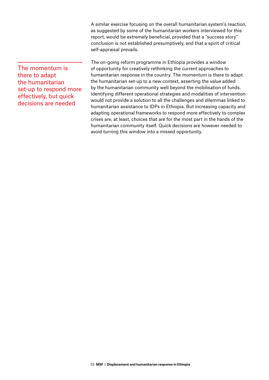A similar exercise focusing on the overall humanitarian system's reaction, as suggested by some of the humanitarian workers interviewed for this report, would be extremely beneficial, provided that a "success story" conclusion is not established presumptively, and that a spirit of critical self-appraisal prevails.

The momentum is there to adapt the humanitarian set-up to respond more effectively, but quick decisions are needed

The on-going reform programme in Ethiopia provides a window of opportunity for creatively rethinking the current approaches to humanitarian response in the country. The momentum is there to adapt the humanitarian set-up to a new context, asserting the value added by the humanitarian community well beyond the mobilisation of funds. Identifying different operational strategies and modalities of intervention would not provide a solution to all the challenges and dilemmas linked to humanitarian assistance to IDPs in Ethiopia. But increasing capacity and adapting operational frameworks to respond more effectively to complex crises are, at least, choices that are for the most part in the hands of the humanitarian community itself. Quick decisions are however needed to avoid turning this window into a missed opportunity.